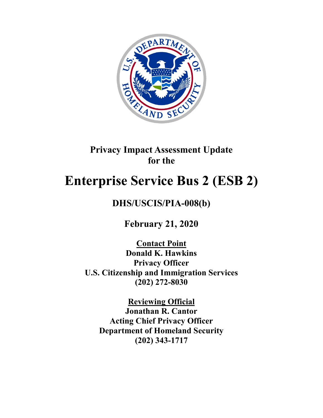

# **Privacy Impact Assessment Update for the**

# **Enterprise Service Bus 2 (ESB 2)**

# **DHS/USCIS/PIA-008(b)**

**February 21, 2020**

**Contact Point Donald K. Hawkins Privacy Officer U.S. Citizenship and Immigration Services (202) 272-8030**

**Reviewing Official Jonathan R. Cantor Acting Chief Privacy Officer Department of Homeland Security (202) 343-1717**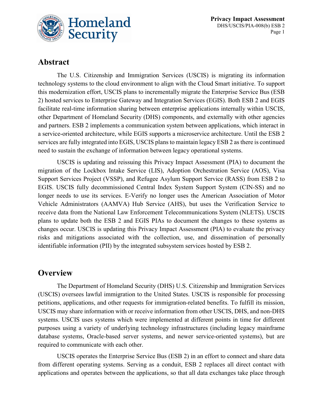

# **Abstract**

The U.S. Citizenship and Immigration Services (USCIS) is migrating its information technology systems to the cloud environment to align with the Cloud Smart initiative. To support this modernization effort, USCIS plans to incrementally migrate the Enterprise Service Bus (ESB 2) hosted services to Enterprise Gateway and Integration Services (EGIS). Both ESB 2 and EGIS facilitate real-time information sharing between enterprise applications internally within USCIS, other Department of Homeland Security (DHS) components, and externally with other agencies and partners. ESB 2 implements a communication system between applications, which interact in a service-oriented architecture, while EGIS supports a microservice architecture. Until the ESB 2 services are fully integrated into EGIS, USCIS plans to maintain legacy ESB 2 as there is continued need to sustain the exchange of information between legacy operational systems.

USCIS is updating and reissuing this Privacy Impact Assessment (PIA) to document the migration of the Lockbox Intake Service (LIS), Adoption Orchestration Service (AOS), Visa Support Services Project (VSSP), and Refugee Asylum Support Service (RASS) from ESB 2 to EGIS. USCIS fully decommissioned Central Index System Support System (CIN-SS) and no longer needs to use its services. E-Verify no longer uses the American Association of Motor Vehicle Administrators (AAMVA) Hub Service (AHS), but uses the Verification Service to receive data from the National Law Enforcement Telecommunications System (NLETS). USCIS plans to update both the ESB 2 and EGIS PIAs to document the changes to these systems as changes occur. USCIS is updating this Privacy Impact Assessment (PIA) to evaluate the privacy risks and mitigations associated with the collection, use, and dissemination of personally identifiable information (PII) by the integrated subsystem services hosted by ESB 2.

# **Overview**

The Department of Homeland Security (DHS) U.S. Citizenship and Immigration Services (USCIS) oversees lawful immigration to the United States. USCIS is responsible for processing petitions, applications, and other requests for immigration-related benefits. To fulfill its mission, USCIS may share information with or receive information from other USCIS, DHS, and non-DHS systems. USCIS uses systems which were implemented at different points in time for different purposes using a variety of underlying technology infrastructures (including legacy mainframe database systems, Oracle-based server systems, and newer service-oriented systems), but are required to communicate with each other.

USCIS operates the Enterprise Service Bus (ESB 2) in an effort to connect and share data from different operating systems. Serving as a conduit, ESB 2 replaces all direct contact with applications and operates between the applications, so that all data exchanges take place through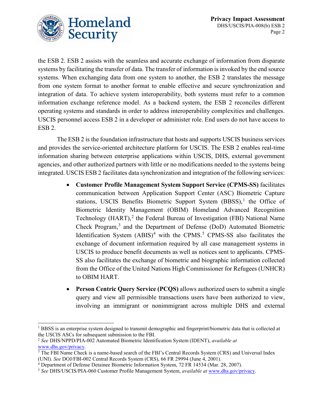

the ESB 2. ESB 2 assists with the seamless and accurate exchange of information from disparate systems by facilitating the transfer of data. The transfer of information is invoked by the end source systems. When exchanging data from one system to another, the ESB 2 translates the message from one system format to another format to enable effective and secure synchronization and integration of data. To achieve system interoperability, both systems must refer to a common information exchange reference model. As a backend system, the ESB 2 reconciles different operating systems and standards in order to address interoperability complexities and challenges. USCIS personnel access ESB 2 in a developer or administer role. End users do not have access to ESB 2.

The ESB 2 is the foundation infrastructure that hosts and supports USCIS business services and provides the service-oriented architecture platform for USCIS. The ESB 2 enables real-time information sharing between enterprise applications within USCIS, DHS, external government agencies, and other authorized partners with little or no modifications needed to the systems being integrated. USCIS ESB 2 facilitates data synchronization and integration of the following services:

- **Customer Profile Management System Support Service (CPMS-SS)** facilitates communication between Application Support Center (ASC) Biometric Capture stations, USCIS Benefits Biometric Support System  $(BBSS)$ ,<sup>[1](#page-2-0)</sup> the Office of Biometric Identity Management (OBIM) Homeland Advanced Recognition Technology (HART),<sup>[2](#page-2-1)</sup> the Federal Bureau of Investigation (FBI) National Name Check Program,<sup>[3](#page-2-2)</sup> and the Department of Defense (DoD) Automated Biometric Identification System  $(ABIS)^4$  $(ABIS)^4$  with the CPMS.<sup>[5](#page-2-4)</sup> CPMS-SS also facilitates the exchange of document information required by all case management systems in USCIS to produce benefit documents as well as notices sent to applicants. CPMS-SS also facilitates the exchange of biometric and biographic information collected from the Office of the United Nations High Commissioner for Refugees (UNHCR) to OBIM HART.
- **Person Centric Query Service (PCQS)** allows authorized users to submit a single query and view all permissible transactions users have been authorized to view, involving an immigrant or nonimmigrant across multiple DHS and external

<span id="page-2-0"></span><sup>&</sup>lt;sup>1</sup> BBSS is an enterprise system designed to transmit demographic and fingerprint/biometric data that is collected at the USCIS ASCs for subsequent submission to the FBI.

<span id="page-2-1"></span><sup>2</sup> *See* DHS/NPPD/PIA-002 Automated Biometric Identification System (IDENT), *available at*  [www.dhs.gov/privacy.](http://www.dhs.gov/privacy)

<span id="page-2-2"></span><sup>&</sup>lt;sup>3</sup> The FBI Name Check is a name-based search of the FBI's Central Records System (CRS) and Universal Index (UNI). *See* DOJ/FBI-002 Central Records System (CRS), 66 FR 29994 (June 4, 2001).

<span id="page-2-3"></span><sup>4</sup> Department of Defense Detainee Biometric Information System, 72 FR 14534 (Mar. 28, 2007).

<span id="page-2-4"></span><sup>5</sup> *See* DHS/USCIS/PIA-060 Customer Profile Management System, *available at* [www.dhs.gov/privacy.](http://www.dhs.gov/privacy)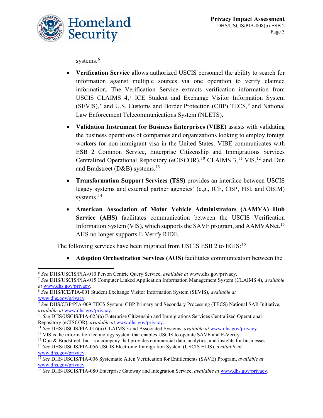

systems.<sup>[6](#page-3-0)</sup>

- **Verification Service** allows authorized USCIS personnel the ability to search for information against multiple sources via one operation to verify claimed information. The Verification Service extracts verification information from USCIS CLAIMS  $4$ ,<sup>[7](#page-3-1)</sup> ICE Student and Exchange Visitor Information System  $(SEVIS)<sup>8</sup>$  $(SEVIS)<sup>8</sup>$  $(SEVIS)<sup>8</sup>$  and U.S. Customs and Border Protection (CBP) TECS,<sup>[9](#page-3-3)</sup> and National Law Enforcement Telecommunications System (NLETS).
- **Validation Instrument for Business Enterprises (VIBE)** assists with validating the business operations of companies and organizations looking to employ foreign workers for non-immigrant visa in the United States. VIBE communicates with ESB 2 Common Service, Enterprise Citizenship and Immigrations Services Centralized Operational Repository (eCISCOR),  $^{10}$  $^{10}$  $^{10}$  CLAIMS 3,  $^{11}$  $^{11}$  $^{11}$  VIS,  $^{12}$  $^{12}$  $^{12}$  and Dun and Bradstreet (D&B) systems.<sup>[13](#page-3-7)</sup>
- **Transformation Support Services (TSS)** provides an interface between USCIS legacy systems and external partner agencies' (e.g., ICE, CBP, FBI, and OBIM) systems.<sup>[14](#page-3-8)</sup>
- **American Association of Motor Vehicle Administrators (AAMVA) Hub Service (AHS)** facilitates communication between the USCIS Verification Information System (VIS), which supports the SAVE program, and AAMVANet.<sup>[15](#page-3-9)</sup> AHS no longer supports E-Verify RIDE.

The following services have been migrated from USCIS ESB 2 to EGIS:<sup>[16](#page-3-10)</sup>

• **Adoption Orchestration Services (AOS)** facilitates communication between the

<span id="page-3-0"></span> <sup>6</sup> *See* DHS/USCIS/PIA-010 Person Centric Query Service, *available at* www.dhs.gov/privacy.

<span id="page-3-1"></span><sup>7</sup> *See* DHS/USCIS/PIA-015 Computer Linked Application Information Management System (CLAIMS 4), *available at* [www.dhs.gov/privacy.](http://www.dhs.gov/privacy)

<span id="page-3-2"></span><sup>8</sup> *See* DHS/ICE/PIA-001 Student Exchange Visitor Information System (SEVIS), *available at*  [www.dhs.gov/privacy.](http://www.dhs.gov/privacy)

<span id="page-3-3"></span><sup>9</sup> *See* DHS/CBP/PIA-009 TECS System: CBP Primary and Secondary Processing (TECS) National SAR Initiative, *available at* [www.dhs.gov/privacy.](http://www.dhs.gov/privacy)

<span id="page-3-4"></span><sup>10</sup> *See* DHS/USCIS/PIA-023(a) Enterprise Citizenship and Immigrations Services Centralized Operational Repository (eCISCOR), *available at* <u>www.dhs.gov/privacy</u>.<br><sup>11</sup> See DHS/USCIS/PIA-016(a) CLAIMS 3 and Associated Systems, *available at* [www.dhs.gov/privacy.](http://www.dhs.gov/privacy)

<span id="page-3-5"></span>

<span id="page-3-6"></span><sup>&</sup>lt;sup>12</sup> VIS is the information technology system that enables USCIS to operate SAVE and E-Verify.

<span id="page-3-7"></span><sup>&</sup>lt;sup>13</sup> Dun & Bradstreet, Inc. is a company that provides commercial data, analytics, and insights for businesses.

<span id="page-3-8"></span><sup>14</sup> *See* DHS/USCIS/PIA-056 USCIS Electronic Immigration System (USCIS ELIS), *available at*  [www.dhs.gov/privacy.](http://www.dhs.gov/privacy)

<span id="page-3-9"></span><sup>15</sup> *See* DHS/USCIS/PIA-006 Systematic Alien Verification for Entitlements (SAVE) Program, *available at* [www.dhs.gov/privacy.](http://www.dhs.gov/privacy)

<span id="page-3-10"></span><sup>16</sup> *See* DHS/USCIS/PIA-080 Enterprise Gateway and Integration Service, *available at* [www.dhs.gov/privacy.](http://www.dhs.gov/privacy)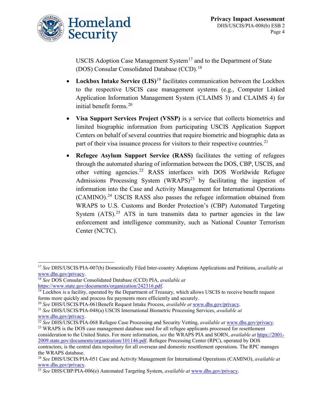

USCIS Adoption Case Management System<sup>[17](#page-4-0)</sup> and to the Department of State (DOS) Consular Consolidated Database (CCD).<sup>[18](#page-4-1)</sup>

- **Lockbox Intake Service (LIS)**<sup>[19](#page-4-2)</sup> facilitates communication between the Lockbox to the respective USCIS case management systems (e.g., Computer Linked Application Information Management System (CLAIMS 3) and CLAIMS 4) for initial benefit forms.<sup>[20](#page-4-3)</sup>
- **Visa Support Services Project (VSSP)** is a service that collects biometrics and limited biographic information from participating USCIS Application Support Centers on behalf of several countries that require biometric and biographic data as part of their visa issuance process for visitors to their respective countries.<sup>[21](#page-4-4)</sup>
- **Refugee Asylum Support Service (RASS)** facilitates the vetting of refugees through the automated sharing of information between the DOS, CBP, USCIS, and other vetting agencies.[22](#page-4-5) RASS interfaces with DOS Worldwide Refugee Admissions Processing System  $(WRAPS)^{23}$  $(WRAPS)^{23}$  $(WRAPS)^{23}$  by facilitating the ingestion of information into the Case and Activity Management for International Operations  $(CAMINO).<sup>24</sup> USCIS RASS also passes the refugee information obtained from$  $(CAMINO).<sup>24</sup> USCIS RASS also passes the refugee information obtained from$  $(CAMINO).<sup>24</sup> USCIS RASS also passes the refugee information obtained from$ WRAPS to U.S. Customs and Border Protection's (CBP) Automated Targeting System  $(ATS)$ .<sup>[25](#page-4-8)</sup> ATS in turn transmits data to partner agencies in the law enforcement and intelligence community, such as National Counter Terrorism Center (NCTC).

<span id="page-4-6"></span><sup>23</sup> WRAPS is the DOS case management database used for all refugee applicants processed for resettlement consideration to the United States. For more information, *see* the WRAPS PIA and SORN, *available at* [https://2001-](https://2001-2009.state.gov/documents/organization/101146.pdf) [2009.state.gov/documents/organization/101146.pdf.](https://2001-2009.state.gov/documents/organization/101146.pdf) Refugee Processing Center (RPC), operated by DOS contractors, is the central data repository for all overseas and domestic resettlement operations. The RPC manages the WRAPS database.

<span id="page-4-0"></span> <sup>17</sup> *See* DHS/USCIS/PIA-007(b) Domestically Filed Inter-country Adoptions Applications and Petitions, *available at*  [www.dhs.gov/privacy.](http://www.dhs.gov/privacy)

<span id="page-4-1"></span><sup>18</sup> *See* DOS Consular Consolidated Database (CCD) PIA, *available at*  [https://www.state.gov/documents/organization/242316.pdf.](https://www.state.gov/documents/organization/242316.pdf)

<span id="page-4-2"></span> $19$  Lockbox is a facility, operated by the Department of Treasury, which allows USCIS to receive benefit request forms more quickly and process fee payments more efficiently and securely.

<span id="page-4-3"></span><sup>20</sup> *See* DHS/USCIS/PIA-061Benefit Request Intake Process, *available at* [www.dhs.gov/privacy.](http://www.dhs.gov/privacy)

<span id="page-4-4"></span><sup>21</sup> *See* DHS/USCIS/PIA-048(a) USCIS International Biometric Processing Services, *available at*  [www.dhs.gov/privacy.](http://www.dhs.gov/privacy)

<span id="page-4-5"></span><sup>22</sup> *See* DHS/USCIS/PIA-068 Refugee Case Processing and Security Vetting, *available at* [www.dhs.gov/privacy.](http://www.dhs.gov/privacy)

<span id="page-4-7"></span><sup>24</sup> *See* DHS/USCIS/PIA-051 Case and Activity Management for International Operations (CAMINO), *available at* [www.dhs.gov/privacy.](http://www.dhs.gov/privacy) 25 *See* DHS/CBP/PIA-006(e) Automated Targeting System, *available at* [www.dhs.gov/privacy.](http://www.dhs.gov/privacy)

<span id="page-4-8"></span>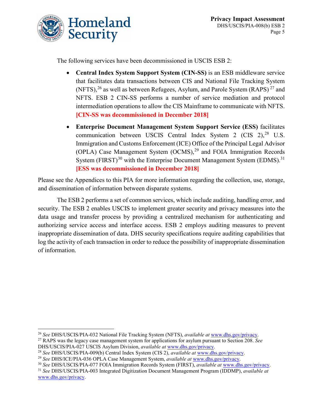

The following services have been decommissioned in USCIS ESB 2:

- **Central Index System Support System (CIN-SS)** is an ESB middleware service that facilitates data transactions between CIS and National File Tracking System (NFTS),  $^{26}$  $^{26}$  $^{26}$  as well as between Refugees, Asylum, and Parole System (RAPS)  $^{27}$  $^{27}$  $^{27}$  and NFTS. ESB 2 CIN-SS performs a number of service mediation and protocol intermediation operations to allow the CIS Mainframe to communicate with NFTS. **[CIN-SS was decommissioned in December 2018]**
- **Enterprise Document Management System Support Service (ESS)** facilitates communication between USCIS Central Index System 2 (CIS 2),<sup>[28](#page-5-2)</sup> U.S. Immigration and Customs Enforcement (ICE) Office of the Principal Legal Advisor (OPLA) Case Management System  $(OCMS)$ ,<sup>[29](#page-5-3)</sup> and FOIA Immigration Records System (FIRST) $^{30}$  $^{30}$  $^{30}$  with the Enterprise Document Management System (EDMS). $^{31}$  $^{31}$  $^{31}$ **[ESS was decommissioned in December 2018]**

Please see the Appendices to this PIA for more information regarding the collection, use, storage, and dissemination of information between disparate systems.

The ESB 2 performs a set of common services, which include auditing, handling error, and security. The ESB 2 enables USCIS to implement greater security and privacy measures into the data usage and transfer process by providing a centralized mechanism for authenticating and authorizing service access and interface access. ESB 2 employs auditing measures to prevent inappropriate dissemination of data. DHS security specifications require auditing capabilities that log the activity of each transaction in order to reduce the possibility of inappropriate dissemination of information.

<span id="page-5-2"></span><sup>28</sup> *See* DHS/USCIS/PIA-009(b) Central Index System (CIS 2), *available at* [www.dhs.gov/privacy.](http://www.dhs.gov/privacy)

<span id="page-5-0"></span> <sup>26</sup> *See* DHS/USCIS/PIA-032 National File Tracking System (NFTS), *available at* [www.dhs.gov/privacy.](http://www.dhs.gov/privacy)

<span id="page-5-1"></span><sup>27</sup> RAPS was the legacy case management system for applications for asylum pursuant to Section 208. *See* DHS/USCIS/PIA-027 USCIS Asylum Division, *available at* [www.dhs.gov/privacy.](http://www.dhs.gov/privacy)

<span id="page-5-3"></span><sup>29</sup> *See* DHS/ICE/PIA-036 OPLA Case Management System, *available at* [www.dhs.gov/privacy.](http://www.dhs.gov/privacy)

<span id="page-5-4"></span><sup>30</sup> *See* DHS/USCIS/PIA-077 FOIA Immigration Records System (FIRST), *available at* [www.dhs.gov/privacy.](http://www.dhs.gov/privacy)

<span id="page-5-5"></span><sup>31</sup> *See* DHS/USCIS/PIA-003 Integrated Digitization Document Management Program (IDDMP), *available at*  [www.dhs.gov/privacy.](http://www.dhs.gov/privacy)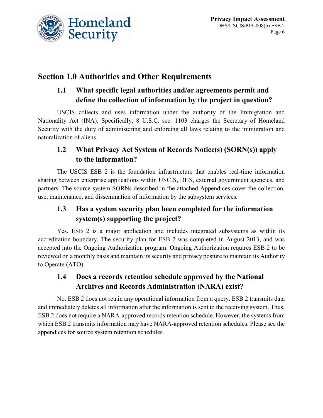

# **Section 1.0 Authorities and Other Requirements**

# **1.1 What specific legal authorities and/or agreements permit and define the collection of information by the project in question?**

USCIS collects and uses information under the authority of the Immigration and Nationality Act (INA). Specifically, 8 U.S.C. sec. 1103 charges the Secretary of Homeland Security with the duty of administering and enforcing all laws relating to the immigration and naturalization of aliens.

# **1.2 What Privacy Act System of Records Notice(s) (SORN(s)) apply to the information?**

The USCIS ESB 2 is the foundation infrastructure that enables real-time information sharing between enterprise applications within USCIS, DHS, external government agencies, and partners. The source-system SORNs described in the attached Appendices cover the collection, use, maintenance, and dissemination of information by the subsystem services.

# **1.3 Has a system security plan been completed for the information system(s) supporting the project?**

Yes. ESB 2 is a major application and includes integrated subsystems as within its accreditation boundary. The security plan for ESB 2 was completed in August 2013, and was accepted into the Ongoing Authorization program. Ongoing Authorization requires ESB 2 to be reviewed on a monthly basis and maintain its security and privacy posture to maintain its Authority to Operate (ATO).

# **1.4 Does a records retention schedule approved by the National Archives and Records Administration (NARA) exist?**

No. ESB 2 does not retain any operational information from a query. ESB 2 transmits data and immediately deletes all information after the information is sent to the receiving system. Thus, ESB 2 does not require a NARA-approved records retention schedule. However, the systems from which ESB 2 transmits information may have NARA-approved retention schedules. Please see the appendices for source system retention schedules.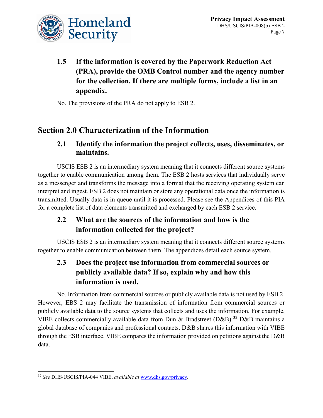

**1.5 If the information is covered by the Paperwork Reduction Act (PRA), provide the OMB Control number and the agency number for the collection. If there are multiple forms, include a list in an appendix.** 

No. The provisions of the PRA do not apply to ESB 2.

# **Section 2.0 Characterization of the Information**

# **2.1 Identify the information the project collects, uses, disseminates, or maintains.**

USCIS ESB 2 is an intermediary system meaning that it connects different source systems together to enable communication among them. The ESB 2 hosts services that individually serve as a messenger and transforms the message into a format that the receiving operating system can interpret and ingest. ESB 2 does not maintain or store any operational data once the information is transmitted. Usually data is in queue until it is processed. Please see the Appendices of this PIA for a complete list of data elements transmitted and exchanged by each ESB 2 service.

# **2.2 What are the sources of the information and how is the information collected for the project?**

USCIS ESB 2 is an intermediary system meaning that it connects different source systems together to enable communication between them. The appendices detail each source system.

# **2.3 Does the project use information from commercial sources or publicly available data? If so, explain why and how this information is used.**

No. Information from commercial sources or publicly available data is not used by ESB 2. However, EBS 2 may facilitate the transmission of information from commercial sources or publicly available data to the source systems that collects and uses the information. For example, VIBE collects commercially available data from Dun & Bradstreet (D&B).<sup>[32](#page-7-0)</sup> D&B maintains a global database of companies and professional contacts. D&B shares this information with VIBE through the ESB interface. VIBE compares the information provided on petitions against the D&B data.

<span id="page-7-0"></span> <sup>32</sup> *See* DHS/USCIS/PIA-044 VIBE, *available at* [www.dhs.gov/privacy.](http://www.dhs.gov/privacy)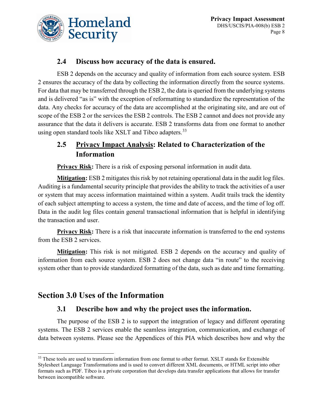

# **2.4 Discuss how accuracy of the data is ensured.**

ESB 2 depends on the accuracy and quality of information from each source system. ESB 2 ensures the accuracy of the data by collecting the information directly from the source systems. For data that may be transferred through the ESB 2, the data is queried from the underlying systems and is delivered "as is" with the exception of reformatting to standardize the representation of the data. Any checks for accuracy of the data are accomplished at the originating site, and are out of scope of the ESB 2 or the services the ESB 2 controls. The ESB 2 cannot and does not provide any assurance that the data it delivers is accurate. ESB 2 transforms data from one format to another using open standard tools like XSLT and Tibco adapters.<sup>[33](#page-8-0)</sup>

# **2.5 Privacy Impact Analysis: Related to Characterization of the Information**

**Privacy Risk:** There is a risk of exposing personal information in audit data.

**Mitigation:** ESB 2 mitigates this risk by not retaining operational data in the audit log files. Auditing is a fundamental security principle that provides the ability to track the activities of a user or system that may access information maintained within a system. Audit trails track the identity of each subject attempting to access a system, the time and date of access, and the time of log off. Data in the audit log files contain general transactional information that is helpful in identifying the transaction and user.

**Privacy Risk:** There is a risk that inaccurate information is transferred to the end systems from the ESB 2 services.

**Mitigation:** This risk is not mitigated. ESB 2 depends on the accuracy and quality of information from each source system. ESB 2 does not change data "in route" to the receiving system other than to provide standardized formatting of the data, such as date and time formatting.

# **Section 3.0 Uses of the Information**

# **3.1 Describe how and why the project uses the information.**

The purpose of the ESB 2 is to support the integration of legacy and different operating systems. The ESB 2 services enable the seamless integration, communication, and exchange of data between systems. Please see the Appendices of this PIA which describes how and why the

<span id="page-8-0"></span><sup>&</sup>lt;sup>33</sup> These tools are used to transform information from one format to other format. XSLT stands for Extensible Stylesheet Language Transformations and is used to convert different XML documents, or HTML script into other formats such as PDF. Tibco is a private corporation that develops data transfer applications that allows for transfer between incompatible software.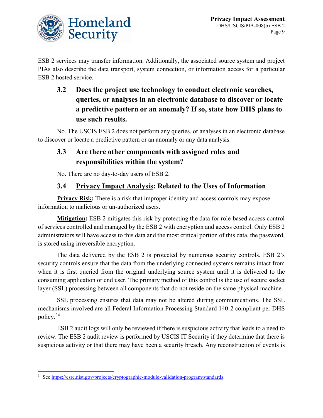

ESB 2 services may transfer information. Additionally, the associated source system and project PIAs also describe the data transport, system connection, or information access for a particular ESB 2 hosted service.

# **3.2 Does the project use technology to conduct electronic searches, queries, or analyses in an electronic database to discover or locate a predictive pattern or an anomaly? If so, state how DHS plans to use such results.**

No. The USCIS ESB 2 does not perform any queries, or analyses in an electronic database to discover or locate a predictive pattern or an anomaly or any data analysis.

# **3.3 Are there other components with assigned roles and responsibilities within the system?**

No. There are no day-to-day users of ESB 2.

# **3.4 Privacy Impact Analysis: Related to the Uses of Information**

**Privacy Risk:** There is a risk that improper identity and access controls may expose information to malicious or un-authorized users.

**Mitigation:** ESB 2 mitigates this risk by protecting the data for role-based access control of services controlled and managed by the ESB 2 with encryption and access control. Only ESB 2 administrators will have access to this data and the most critical portion of this data, the password, is stored using irreversible encryption.

The data delivered by the ESB 2 is protected by numerous security controls. ESB 2's security controls ensure that the data from the underlying connected systems remains intact from when it is first queried from the original underlying source system until it is delivered to the consuming application or end user. The primary method of this control is the use of secure socket layer (SSL) processing between all components that do not reside on the same physical machine.

SSL processing ensures that data may not be altered during communications. The SSL mechanisms involved are all Federal Information Processing Standard 140-2 compliant per DHS policy.[34](#page-9-0)

ESB 2 audit logs will only be reviewed if there is suspicious activity that leads to a need to review. The ESB 2 audit review is performed by USCIS IT Security if they determine that there is suspicious activity or that there may have been a security breach. Any reconstruction of events is

<span id="page-9-0"></span> <sup>34</sup> See [https://csrc.nist.gov/projects/cryptographic-module-validation-program/standards.](https://csrc.nist.gov/projects/cryptographic-module-validation-program/standards)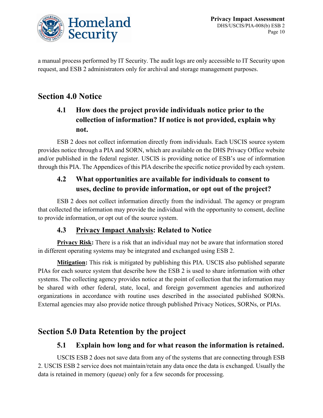

a manual process performed by IT Security. The audit logs are only accessible to IT Security upon request, and ESB 2 administrators only for archival and storage management purposes.

# **Section 4.0 Notice**

# **4.1 How does the project provide individuals notice prior to the collection of information? If notice is not provided, explain why not.**

ESB 2 does not collect information directly from individuals. Each USCIS source system provides notice through a PIA and SORN, which are available on the DHS Privacy Office website and/or published in the federal register. USCIS is providing notice of ESB's use of information through this PIA. The Appendices of this PIA describe the specific notice provided by each system.

# **4.2 What opportunities are available for individuals to consent to uses, decline to provide information, or opt out of the project?**

ESB 2 does not collect information directly from the individual. The agency or program that collected the information may provide the individual with the opportunity to consent, decline to provide information, or opt out of the source system.

# **4.3 Privacy Impact Analysis: Related to Notice**

**Privacy Risk:** There is a risk that an individual may not be aware that information stored in different operating systems may be integrated and exchanged using ESB 2.

**Mitigation:** This risk is mitigated by publishing this PIA. USCIS also published separate PIAs for each source system that describe how the ESB 2 is used to share information with other systems. The collecting agency provides notice at the point of collection that the information may be shared with other federal, state, local, and foreign government agencies and authorized organizations in accordance with routine uses described in the associated published SORNs. External agencies may also provide notice through published Privacy Notices, SORNs, or PIAs.

# **Section 5.0 Data Retention by the project**

# **5.1 Explain how long and for what reason the information is retained.**

USCIS ESB 2 does not save data from any of the systems that are connecting through ESB 2. USCIS ESB 2 service does not maintain/retain any data once the data is exchanged. Usually the data is retained in memory (queue) only for a few seconds for processing.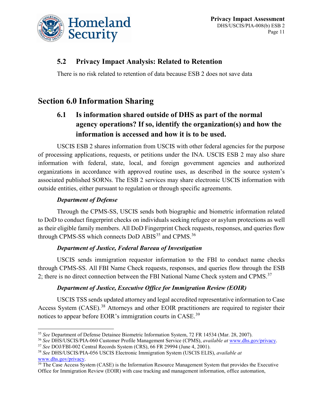

# **5.2 Privacy Impact Analysis: Related to Retention**

There is no risk related to retention of data because ESB 2 does not save data

# **Section 6.0 Information Sharing**

# **6.1 Is information shared outside of DHS as part of the normal agency operations? If so, identify the organization(s) and how the information is accessed and how it is to be used.**

USCIS ESB 2 shares information from USCIS with other federal agencies for the purpose of processing applications, requests, or petitions under the INA. USCIS ESB 2 may also share information with federal, state, local, and foreign government agencies and authorized organizations in accordance with approved routine uses, as described in the source system's associated published SORNs. The ESB 2 services may share electronic USCIS information with outside entities, either pursuant to regulation or through specific agreements.

### *Department of Defense*

Through the CPMS-SS, USCIS sends both biographic and biometric information related to DoD to conduct fingerprint checks on individuals seeking refugee or asylum protections as well as their eligible family members. All DoD Fingerprint Check requests, responses, and queries flow through CPMS-SS which connects DoD ABIS<sup>[35](#page-11-0)</sup> and CPMS.<sup>[36](#page-11-1)</sup>

### *Department of Justice, Federal Bureau of Investigation*

USCIS sends immigration requestor information to the FBI to conduct name checks through CPMS-SS. All FBI Name Check requests, responses, and queries flow through the ESB 2; there is no direct connection between the FBI National Name Check system and CPMS.<sup>[37](#page-11-2)</sup>

### *Department of Justice, Executive Office for Immigration Review (EOIR)*

USCIS TSS sends updated attorney and legal accredited representative information to Case Access System (CASE).<sup>[38](#page-11-3)</sup> Attorneys and other EOIR practitioners are required to register their notices to appear before EOIR's immigration courts in CASE.<sup>[39](#page-11-4)</sup>

<span id="page-11-0"></span> <sup>35</sup> *See* Department of Defense Detainee Biometric Information System, 72 FR 14534 (Mar. 28, 2007).

<span id="page-11-1"></span><sup>36</sup> *See* DHS/USCIS/PIA-060 Customer Profile Management Service (CPMS), *available at* [www.dhs.gov/privacy.](http://www.dhs.gov/privacy)

<span id="page-11-2"></span><sup>37</sup> *See* DOJ/FBI-002 Central Records System (CRS), 66 FR 29994 (June 4, 2001).

<span id="page-11-3"></span><sup>38</sup> *See* DHS/USCIS/PIA-056 USCIS Electronic Immigration System (USCIS ELIS), *available at*  [www.dhs.gov/privacy.](http://www.dhs.gov/privacy)

<span id="page-11-4"></span> $39$  The Case Access System (CASE) is the Information Resource Management System that provides the Executive Office for Immigration Review (EOIR) with case tracking and management information, office automation,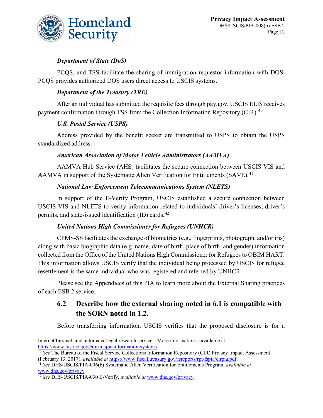

### *Department of State (DoS)*

PCQS, and TSS facilitate the sharing of immigration requestor information with DOS. PCQS provides authorized DOS users direct access to USCIS systems.

#### *Department of the Treasury (TRE)*

After an individual has submitted the requisite fees through pay.gov, USCIS ELIS receives payment confirmation through TSS from the Collection Information Repository (CIR).<sup>[40](#page-12-0)</sup>

### *U.S. Postal Service (USPS)*

Address provided by the benefit seeker are transmitted to USPS to obtain the USPS standardized address.

#### *American Association of Motor Vehicle Administrators (AAMVA)*

AAMVA Hub Service (AHS) facilitates the secure connection between USCIS VIS and AAMVA in support of the Systematic Alien Verification for Entitlements (SAVE).<sup>[41](#page-12-1)</sup>

#### *National Law Enforcement Telecommunications System (NLETS)*

In support of the E-Verify Program, USCIS established a secure connection between USCIS VIS and NLETS to verify information related to individuals' driver's licenses, driver's permits, and state-issued identification  $(ID)$  cards.<sup>[42](#page-12-2)</sup>

#### *United Nations High Commissioner for Refugees (UNHCR)*

CPMS-SS facilitates the exchange of biometrics (e.g., fingerprints, photograph, and/or iris) along with basic biographic data (e.g. name, date of birth, place of birth, and gender) information collected from the Office of the United Nations High Commissioner for Refugees to OBIM HART. This information allows USCIS verify that the individual being processed by USCIS for refugee resettlement is the same individual who was registered and referred by UNHCR.

Please see the Appendices of this PIA to learn more about the External Sharing practices of each ESB 2 service.

# **6.2 Describe how the external sharing noted in 6.1 is compatible with the SORN noted in 1.2.**

Before transferring information, USCIS verifies that the proposed disclosure is for a

 $\overline{a}$ 

Internet/Intranet, and automated legal research services. More information is available at [https://www.justice.gov/eoir/major-information-systems.](https://www.justice.gov/eoir/major-information-systems)

<span id="page-12-0"></span><sup>40</sup> *See* The Bureau of the Fiscal Service Collections Information Repository (CIR) Privacy Impact Assessment (February 13, 2017), *available at* [https://www.fiscal.treasury.gov/fsreports/rpt/fspia/cirpia.pdf.](https://www.fiscal.treasury.gov/fsreports/rpt/fspia/cirpia.pdf)

<span id="page-12-1"></span><sup>41</sup> *See* DHS/USCIS/PIA-006(b) Systematic Alien Verification for Entitlements Program, *available at* [www.dhs.gov/privacy.](http://www.dhs.gov/privacy)

<span id="page-12-2"></span><sup>42</sup> *See* DHS/USCIS/PIA-030 E-Verify, *available at* [www.dhs.gov/privacy.](http://www.dhs.gov/privacy)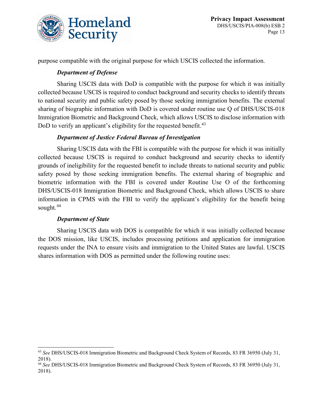

purpose compatible with the original purpose for which USCIS collected the information.

### *Department of Defense*

Sharing USCIS data with DoD is compatible with the purpose for which it was initially collected because USCIS is required to conduct background and security checks to identify threats to national security and public safety posed by those seeking immigration benefits. The external sharing of biographic information with DoD is covered under routine use Q of DHS/USCIS-018 Immigration Biometric and Background Check, which allows USCIS to disclose information with DoD to verify an applicant's eligibility for the requested benefit.<sup>[43](#page-13-0)</sup>

### *Department of Justice Federal Bureau of Investigation*

Sharing USCIS data with the FBI is compatible with the purpose for which it was initially collected because USCIS is required to conduct background and security checks to identify grounds of ineligibility for the requested benefit to include threats to national security and public safety posed by those seeking immigration benefits. The external sharing of biographic and biometric information with the FBI is covered under Routine Use O of the forthcoming DHS/USCIS-018 Immigration Biometric and Background Check, which allows USCIS to share information in CPMS with the FBI to verify the applicant's eligibility for the benefit being sought.<sup>[44](#page-13-1)</sup>

#### *Department of State*

Sharing USCIS data with DOS is compatible for which it was initially collected because the DOS mission, like USCIS, includes processing petitions and application for immigration requests under the INA to ensure visits and immigration to the United States are lawful. USCIS shares information with DOS as permitted under the following routine uses:

<span id="page-13-0"></span> <sup>43</sup> *See* DHS/USCIS-018 Immigration Biometric and Background Check System of Records, 83 FR 36950 (July 31, 2018).

<span id="page-13-1"></span><sup>44</sup> *See* DHS/USCIS-018 Immigration Biometric and Background Check System of Records, 83 FR 36950 (July 31, 2018).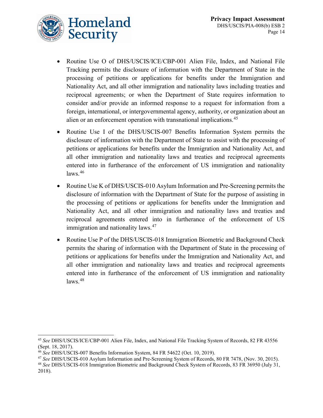

- Routine Use O of DHS/USCIS/ICE/CBP-001 Alien File, Index, and National File Tracking permits the disclosure of information with the Department of State in the processing of petitions or applications for benefits under the Immigration and Nationality Act, and all other immigration and nationality laws including treaties and reciprocal agreements; or when the Department of State requires information to consider and/or provide an informed response to a request for information from a foreign, international, or intergovernmental agency, authority, or organization about an alien or an enforcement operation with transnational implications.<sup>[45](#page-14-0)</sup>
- Routine Use I of the DHS/USCIS-007 Benefits Information System permits the disclosure of information with the Department of State to assist with the processing of petitions or applications for benefits under the Immigration and Nationality Act, and all other immigration and nationality laws and treaties and reciprocal agreements entered into in furtherance of the enforcement of US immigration and nationality  $laws.<sup>46</sup>$  $laws.<sup>46</sup>$  $laws.<sup>46</sup>$
- Routine Use K of DHS/USCIS-010 Asylum Information and Pre-Screening permits the disclosure of information with the Department of State for the purpose of assisting in the processing of petitions or applications for benefits under the Immigration and Nationality Act, and all other immigration and nationality laws and treaties and reciprocal agreements entered into in furtherance of the enforcement of US immigration and nationality laws.<sup>[47](#page-14-2)</sup>
- Routine Use P of the DHS/USCIS-018 Immigration Biometric and Background Check permits the sharing of information with the Department of State in the processing of petitions or applications for benefits under the Immigration and Nationality Act, and all other immigration and nationality laws and treaties and reciprocal agreements entered into in furtherance of the enforcement of US immigration and nationality  $\text{laws.}^{48}$  $\text{laws.}^{48}$  $\text{laws.}^{48}$

<span id="page-14-0"></span> <sup>45</sup> *See* DHS/USCIS/ICE/CBP-001 Alien File, Index, and National File Tracking System of Records, 82 FR 43556 (Sept. 18, 2017).

<span id="page-14-1"></span><sup>46</sup> *See* DHS/USCIS-007 Benefits Information System, 84 FR 54622 (Oct. 10, 2019).

<span id="page-14-2"></span><sup>47</sup> *See* DHS/USCIS-010 Asylum Information and Pre-Screening System of Records, 80 FR 7478, (Nov. 30, 2015).

<span id="page-14-3"></span><sup>48</sup> *See* DHS/USCIS-018 Immigration Biometric and Background Check System of Records, 83 FR 36950 (July 31, 2018).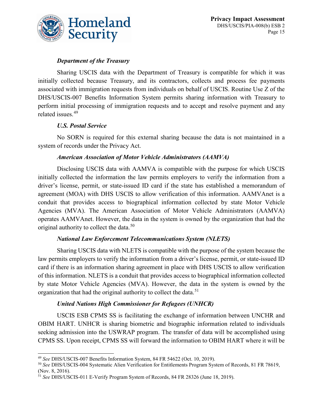

### *Department of the Treasury*

Sharing USCIS data with the Department of Treasury is compatible for which it was initially collected because Treasury, and its contractors, collects and process fee payments associated with immigration requests from individuals on behalf of USCIS. Routine Use Z of the DHS/USCIS-007 Benefits Information System permits sharing information with Treasury to perform initial processing of immigration requests and to accept and resolve payment and any related issues.[49](#page-15-0)

### *U.S. Postal Service*

No SORN is required for this external sharing because the data is not maintained in a system of records under the Privacy Act.

#### *American Association of Motor Vehicle Administrators (AAMVA)*

Disclosing USCIS data with AAMVA is compatible with the purpose for which USCIS initially collected the information the law permits employers to verify the information from a driver's license, permit, or state-issued ID card if the state has established a memorandum of agreement (MOA) with DHS USCIS to allow verification of this information. AAMVAnet is a conduit that provides access to biographical information collected by state Motor Vehicle Agencies (MVA). The American Association of Motor Vehicle Administrators (AAMVA) operates AAMVAnet. However, the data in the system is owned by the organization that had the original authority to collect the data.<sup>[50](#page-15-1)</sup>

#### *National Law Enforcement Telecommunications System (NLETS)*

Sharing USCIS data with NLETS is compatible with the purpose of the system because the law permits employers to verify the information from a driver's license, permit, or state-issued ID card if there is an information sharing agreement in place with DHS USCIS to allow verification of this information. NLETS is a conduit that provides access to biographical information collected by state Motor Vehicle Agencies (MVA). However, the data in the system is owned by the organization that had the original authority to collect the data.<sup>[51](#page-15-2)</sup>

#### *United Nations High Commissioner for Refugees (UNHCR)*

USCIS ESB CPMS SS is facilitating the exchange of information between UNCHR and OBIM HART. UNHCR is sharing biometric and biographic information related to individuals seeking admission into the USWRAP program. The transfer of data will be accomplished using CPMS SS. Upon receipt, CPMS SS will forward the information to OBIM HART where it will be

<span id="page-15-0"></span> <sup>49</sup> *See* DHS/USCIS-007 Benefits Information System, 84 FR 54622 (Oct. 10, 2019).

<span id="page-15-1"></span><sup>50</sup> *See* DHS/USCIS-004 Systematic Alien Verification for Entitlements Program System of Records, 81 FR 78619, (Nov. 8, 2016).

<span id="page-15-2"></span><sup>51</sup> *See* DHS/USCIS-011 E-Verify Program System of Records, 84 FR 28326 (June 18, 2019).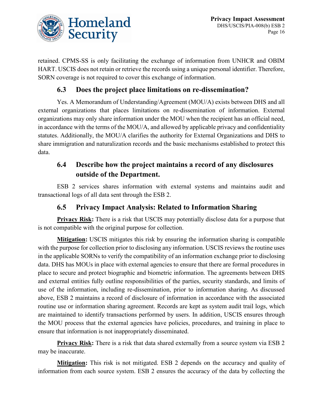

retained. CPMS-SS is only facilitating the exchange of information from UNHCR and OBIM HART. USCIS does not retain or retrieve the records using a unique personal identifier. Therefore, SORN coverage is not required to cover this exchange of information.

# **6.3 Does the project place limitations on re-dissemination?**

Yes. A Memorandum of Understanding/Agreement (MOU/A) exists between DHS and all external organizations that places limitations on re-dissemination of information. External organizations may only share information under the MOU when the recipient has an official need, in accordance with the terms of the MOU/A, and allowed by applicable privacy and confidentiality statutes. Additionally, the MOU/A clarifies the authority for External Organizations and DHS to share immigration and naturalization records and the basic mechanisms established to protect this data.

# **6.4 Describe how the project maintains a record of any disclosures outside of the Department.**

ESB 2 services shares information with external systems and maintains audit and transactional logs of all data sent through the ESB 2.

# **6.5 Privacy Impact Analysis: Related to Information Sharing**

**Privacy Risk:** There is a risk that USCIS may potentially disclose data for a purpose that is not compatible with the original purpose for collection.

**Mitigation:** USCIS mitigates this risk by ensuring the information sharing is compatible with the purpose for collection prior to disclosing any information. USCIS reviews the routine uses in the applicable SORNs to verify the compatibility of an information exchange prior to disclosing data. DHS has MOUs in place with external agencies to ensure that there are formal procedures in place to secure and protect biographic and biometric information. The agreements between DHS and external entities fully outline responsibilities of the parties, security standards, and limits of use of the information, including re-dissemination, prior to information sharing. As discussed above, ESB 2 maintains a record of disclosure of information in accordance with the associated routine use or information sharing agreement. Records are kept as system audit trail logs, which are maintained to identify transactions performed by users. In addition, USCIS ensures through the MOU process that the external agencies have policies, procedures, and training in place to ensure that information is not inappropriately disseminated.

**Privacy Risk:** There is a risk that data shared externally from a source system via ESB 2 may be inaccurate.

**Mitigation:** This risk is not mitigated. ESB 2 depends on the accuracy and quality of information from each source system. ESB 2 ensures the accuracy of the data by collecting the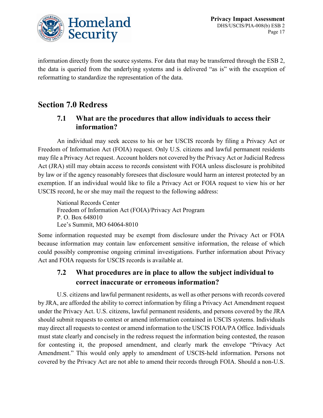

information directly from the source systems. For data that may be transferred through the ESB 2, the data is queried from the underlying systems and is delivered "as is" with the exception of reformatting to standardize the representation of the data.

# **Section 7.0 Redress**

# **7.1 What are the procedures that allow individuals to access their information?**

An individual may seek access to his or her USCIS records by filing a Privacy Act or Freedom of Information Act (FOIA) request. Only U.S. citizens and lawful permanent residents may file a Privacy Act request. Account holders not covered by the Privacy Act or Judicial Redress Act (JRA) still may obtain access to records consistent with FOIA unless disclosure is prohibited by law or if the agency reasonably foresees that disclosure would harm an interest protected by an exemption. If an individual would like to file a Privacy Act or FOIA request to view his or her USCIS record, he or she may mail the request to the following address:

National Records Center Freedom of Information Act (FOIA)/Privacy Act Program P. O. Box 648010 Lee's Summit, MO 64064-8010

Some information requested may be exempt from disclosure under the Privacy Act or FOIA because information may contain law enforcement sensitive information, the release of which could possibly compromise ongoing criminal investigations. Further information about Privacy Act and FOIA requests for USCIS records is available at.

# **7.2 What procedures are in place to allow the subject individual to correct inaccurate or erroneous information?**

U.S. citizens and lawful permanent residents, as well as other persons with records covered by JRA, are afforded the ability to correct information by filing a Privacy Act Amendment request under the Privacy Act. U.S. citizens, lawful permanent residents, and persons covered by the JRA should submit requests to contest or amend information contained in USCIS systems. Individuals may direct all requests to contest or amend information to the USCIS FOIA/PA Office. Individuals must state clearly and concisely in the redress request the information being contested, the reason for contesting it, the proposed amendment, and clearly mark the envelope "Privacy Act Amendment." This would only apply to amendment of USCIS-held information. Persons not covered by the Privacy Act are not able to amend their records through FOIA. Should a non-U.S.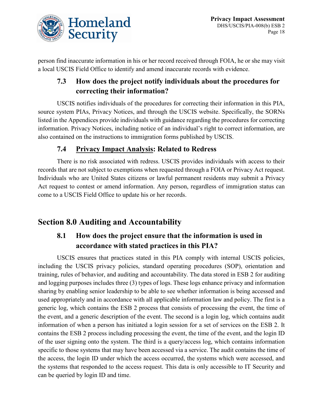

person find inaccurate information in his or her record received through FOIA, he or she may visit a local USCIS Field Office to identify and amend inaccurate records with evidence.

# **7.3 How does the project notify individuals about the procedures for correcting their information?**

USCIS notifies individuals of the procedures for correcting their information in this PIA, source system PIAs, Privacy Notices, and through the USCIS website. Specifically, the SORNs listed in the Appendices provide individuals with guidance regarding the procedures for correcting information. Privacy Notices, including notice of an individual's right to correct information, are also contained on the instructions to immigration forms published by USCIS.

# **7.4 Privacy Impact Analysis: Related to Redress**

There is no risk associated with redress. USCIS provides individuals with access to their records that are not subject to exemptions when requested through a FOIA or Privacy Act request. Individuals who are United States citizens or lawful permanent residents may submit a Privacy Act request to contest or amend information. Any person, regardless of immigration status can come to a USCIS Field Office to update his or her records.

# **Section 8.0 Auditing and Accountability**

# **8.1 How does the project ensure that the information is used in accordance with stated practices in this PIA?**

USCIS ensures that practices stated in this PIA comply with internal USCIS policies, including the USCIS privacy policies, standard operating procedures (SOP), orientation and training, rules of behavior, and auditing and accountability. The data stored in ESB 2 for auditing and logging purposes includes three (3) types of logs. These logs enhance privacy and information sharing by enabling senior leadership to be able to see whether information is being accessed and used appropriately and in accordance with all applicable information law and policy. The first is a generic log, which contains the ESB 2 process that consists of processing the event, the time of the event, and a generic description of the event. The second is a login log, which contains audit information of when a person has initiated a login session for a set of services on the ESB 2. It contains the ESB 2 process including processing the event, the time of the event, and the login ID of the user signing onto the system. The third is a query/access log, which contains information specific to those systems that may have been accessed via a service. The audit contains the time of the access, the login ID under which the access occurred, the systems which were accessed, and the systems that responded to the access request. This data is only accessible to IT Security and can be queried by login ID and time.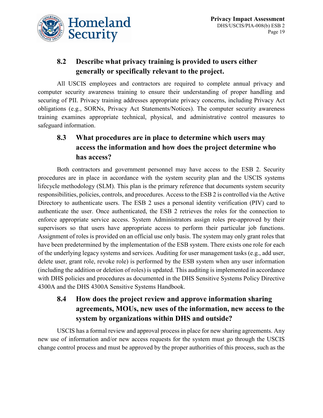

# **8.2 Describe what privacy training is provided to users either generally or specifically relevant to the project.**

All USCIS employees and contractors are required to complete annual privacy and computer security awareness training to ensure their understanding of proper handling and securing of PII. Privacy training addresses appropriate privacy concerns, including Privacy Act obligations (e.g., SORNs, Privacy Act Statements/Notices). The computer security awareness training examines appropriate technical, physical, and administrative control measures to safeguard information.

# **8.3 What procedures are in place to determine which users may access the information and how does the project determine who has access?**

Both contractors and government personnel may have access to the ESB 2. Security procedures are in place in accordance with the system security plan and the USCIS systems lifecycle methodology (SLM). This plan is the primary reference that documents system security responsibilities, policies, controls, and procedures. Access to the ESB 2 is controlled via the Active Directory to authenticate users. The ESB 2 uses a personal identity verification (PIV) card to authenticate the user. Once authenticated, the ESB 2 retrieves the roles for the connection to enforce appropriate service access. System Administrators assign roles pre-approved by their supervisors so that users have appropriate access to perform their particular job functions. Assignment of roles is provided on an official use only basis. The system may only grant roles that have been predetermined by the implementation of the ESB system. There exists one role for each of the underlying legacy systems and services. Auditing for user management tasks (e.g., add user, delete user, grant role, revoke role) is performed by the ESB system when any user information (including the addition or deletion of roles) is updated. This auditing is implemented in accordance with DHS policies and procedures as documented in the DHS Sensitive Systems Policy Directive 4300A and the DHS 4300A Sensitive Systems Handbook.

# **8.4 How does the project review and approve information sharing agreements, MOUs, new uses of the information, new access to the system by organizations within DHS and outside?**

USCIS has a formal review and approval process in place for new sharing agreements. Any new use of information and/or new access requests for the system must go through the USCIS change control process and must be approved by the proper authorities of this process, such as the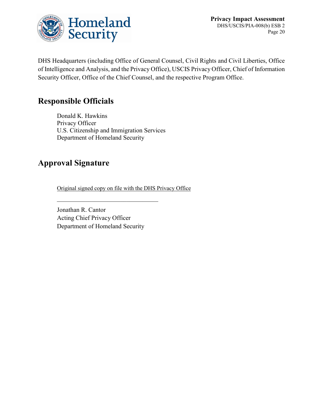

**Privacy Impact Assessment** DHS/USCIS/PIA-008(b) ESB 2 Page 20

DHS Headquarters (including Office of General Counsel, Civil Rights and Civil Liberties, Office of Intelligence and Analysis, and the Privacy Office), USCIS Privacy Officer, Chief of Information Security Officer, Office of the Chief Counsel, and the respective Program Office.

# **Responsible Officials**

Donald K. Hawkins Privacy Officer U.S. Citizenship and Immigration Services Department of Homeland Security

# **Approval Signature**

Original signed copy on file with the DHS Privacy Office

Jonathan R. Cantor Acting Chief Privacy Officer Department of Homeland Security

 $\mathcal{L}_\text{max}$  , which is a set of the set of the set of the set of the set of the set of the set of the set of the set of the set of the set of the set of the set of the set of the set of the set of the set of the set of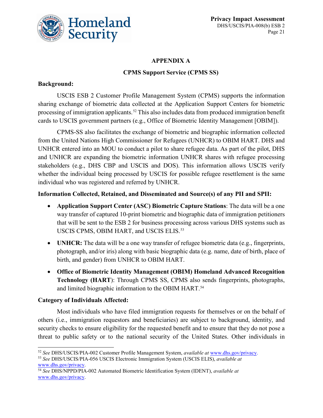

### **APPENDIX A**

### **CPMS Support Service (CPMS SS)**

### **Background:**

USCIS ESB 2 Customer Profile Management System (CPMS) supports the information sharing exchange of biometric data collected at the Application Support Centers for biometric processing of immigration applicants.<sup>[52](#page-21-0)</sup> This also includes data from produced immigration benefit cards to USCIS government partners (e.g., Office of Biometric Identity Management [OBIM]).

CPMS-SS also facilitates the exchange of biometric and biographic information collected from the United Nations High Commissioner for Refugees (UNHCR) to OBIM HART. DHS and UNHCR entered into an MOU to conduct a pilot to share refugee data. As part of the pilot, DHS and UNHCR are expanding the biometric information UNHCR shares with refugee processing stakeholders (e.g., DHS CBP and USCIS and DOS). This information allows USCIS verify whether the individual being processed by USCIS for possible refugee resettlement is the same individual who was registered and referred by UNHCR.

#### **Information Collected, Retained, and Disseminated and Source(s) of any PII and SPII:**

- **Application Support Center (ASC) Biometric Capture Stations**: The data will be a one way transfer of captured 10-print biometric and biographic data of immigration petitioners that will be sent to the ESB 2 for business processing across various DHS systems such as USCIS CPMS, OBIM HART, and USCIS ELIS.<sup>[53](#page-21-1)</sup>
- **UNHCR:** The data will be a one way transfer of refugee biometric data (e.g., fingerprints, photograph, and/or iris) along with basic biographic data (e.g. name, date of birth, place of birth, and gender) from UNHCR to OBIM HART.
- **Office of Biometric Identity Management (OBIM) Homeland Advanced Recognition Technology (HART**): Through CPMS SS, CPMS also sends fingerprints, photographs, and limited biographic information to the OBIM HART. [54](#page-21-2)

### **Category of Individuals Affected:**

Most individuals who have filed immigration requests for themselves or on the behalf of others (i.e., immigration requestors and beneficiaries) are subject to background, identity, and security checks to ensure eligibility for the requested benefit and to ensure that they do not pose a threat to public safety or to the national security of the United States. Other individuals in

<span id="page-21-0"></span> <sup>52</sup> *See* DHS/USCIS/PIA-002 Customer Profile Management System, *available at* [www.dhs.gov/privacy.](http://www.dhs.gov/privacy)

<span id="page-21-1"></span><sup>53</sup> *See* DHS/USCIS/PIA-056 USCIS Electronic Immigration System (USCIS ELIS), *available at* [www.dhs.gov/privacy.](http://www.dhs.gov/privacy)

<span id="page-21-2"></span><sup>54</sup> *See* DHS/NPPD/PIA-002 Automated Biometric Identification System (IDENT), *available at* [www.dhs.gov/privacy.](http://www.dhs.gov/privacy)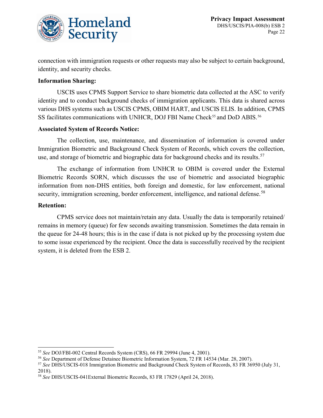

connection with immigration requests or other requests may also be subject to certain background, identity, and security checks.

#### **Information Sharing:**

USCIS uses CPMS Support Service to share biometric data collected at the ASC to verify identity and to conduct background checks of immigration applicants. This data is shared across various DHS systems such as USCIS CPMS, OBIM HART, and USCIS ELIS. In addition, CPMS SS facilitates communications with UNHCR, DOJ FBI Name Check<sup>[55](#page-22-0)</sup> and DoD ABIS.<sup>[56](#page-22-1)</sup>

#### **Associated System of Records Notice:**

The collection, use, maintenance, and dissemination of information is covered under Immigration Biometric and Background Check System of Records, which covers the collection, use, and storage of biometric and biographic data for background checks and its results.<sup>[57](#page-22-2)</sup>

The exchange of information from UNHCR to OBIM is covered under the External Biometric Records SORN, which discusses the use of biometric and associated biographic information from non-DHS entities, both foreign and domestic, for law enforcement, national security, immigration screening, border enforcement, intelligence, and national defense.<sup>[58](#page-22-3)</sup>

#### **Retention:**

CPMS service does not maintain/retain any data. Usually the data is temporarily retained/ remains in memory (queue) for few seconds awaiting transmission. Sometimes the data remain in the queue for 24-48 hours; this is in the case if data is not picked up by the processing system due to some issue experienced by the recipient. Once the data is successfully received by the recipient system, it is deleted from the ESB 2.

<span id="page-22-0"></span> <sup>55</sup> *See* DOJ/FBI-002 Central Records System (CRS), 66 FR 29994 (June 4, 2001).

<span id="page-22-1"></span><sup>56</sup> *See* Department of Defense Detainee Biometric Information System, 72 FR 14534 (Mar. 28, 2007).

<span id="page-22-2"></span><sup>57</sup> *See* DHS/USCIS-018 Immigration Biometric and Background Check System of Records, 83 FR 36950 (July 31, 2018).

<span id="page-22-3"></span><sup>58</sup> *See* DHS/USCIS-041External Biometric Records, 83 FR 17829 (April 24, 2018).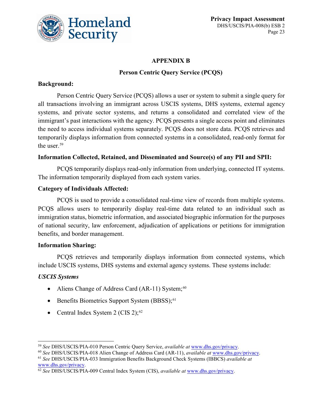

### **APPENDIX B**

### **Person Centric Query Service (PCQS)**

### **Background:**

Person Centric Query Service (PCQS) allows a user or system to submit a single query for all transactions involving an immigrant across USCIS systems, DHS systems, external agency systems, and private sector systems, and returns a consolidated and correlated view of the immigrant's past interactions with the agency. PCQS presents a single access point and eliminates the need to access individual systems separately. PCQS does not store data. PCQS retrieves and temporarily displays information from connected systems in a consolidated, read-only format for the user.<sup>[59](#page-23-0)</sup>

### **Information Collected, Retained, and Disseminated and Source(s) of any PII and SPII:**

PCQS temporarily displays read-only information from underlying, connected IT systems. The information temporarily displayed from each system varies.

### **Category of Individuals Affected:**

PCQS is used to provide a consolidated real-time view of records from multiple systems. PCQS allows users to temporarily display real-time data related to an individual such as immigration status, biometric information, and associated biographic information for the purposes of national security, law enforcement, adjudication of applications or petitions for immigration benefits, and border management.

#### **Information Sharing:**

PCQS retrieves and temporarily displays information from connected systems, which include USCIS systems, DHS systems and external agency systems. These systems include:

### *USCIS Systems*

- Aliens Change of Address Card (AR-11) System;<sup>[60](#page-23-1)</sup>
- Benefits Biometrics Support System (BBSS);<sup>[61](#page-23-2)</sup>
- Central Index System 2 (CIS 2); $^{62}$  $^{62}$  $^{62}$

<span id="page-23-0"></span> <sup>59</sup> *See* DHS/USCIS/PIA-010 Person Centric Query Service, *available at* [www.dhs.gov/privacy.](http://www.dhs.gov/privacy)

<span id="page-23-1"></span><sup>60</sup> *See* DHS/USCIS/PIA-018 Alien Change of Address Card (AR-11), *available at* [www.dhs.gov/privacy.](http://www.dhs.gov/privacy)

<span id="page-23-2"></span><sup>61</sup> *See* DHS/USCIS/PIA-033 Immigration Benefits Background Check Systems (IBBCS) *available at* [www.dhs.gov/privacy.](http://www.dhs.gov/privacy)

<span id="page-23-3"></span><sup>62</sup> *See* DHS/USCIS/PIA-009 Central Index System (CIS), *available at* [www.dhs.gov/privacy.](http://www.dhs.gov/privacy)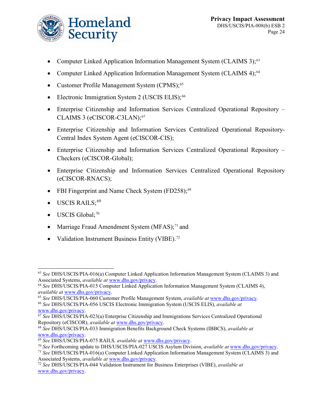

- Computer Linked Application Information Management System (CLAIMS 3);<sup>[63](#page-24-0)</sup>
- Computer Linked Application Information Management System (CLAIMS 4);<sup>[64](#page-24-1)</sup>
- Customer Profile Management System (CPMS);<sup>[65](#page-24-2)</sup>
- Electronic Immigration System 2 (USCIS ELIS);<sup>[66](#page-24-3)</sup>
- Enterprise Citizenship and Information Services Centralized Operational Repository CLAIMS 3 (eCISCOR-C3LAN);<sup>[67](#page-24-4)</sup>
- Enterprise Citizenship and Information Services Centralized Operational Repository-Central Index System Agent (eCISCOR-CIS);
- Enterprise Citizenship and Information Services Centralized Operational Repository Checkers (eCISCOR-Global);
- Enterprise Citizenship and Information Services Centralized Operational Repository (eCISCOR-RNACS);
- FBI Fingerprint and Name Check System (FD258):<sup>[68](#page-24-5)</sup>
- $\bullet$  USCIS RAILS;<sup>[69](#page-24-6)</sup>
- USCIS Global;<sup>[70](#page-24-7)</sup>
- Marriage Fraud Amendment System (MFAS); $^{71}$  $^{71}$  $^{71}$  and
- Validation Instrument Business Entity (VIBE).<sup>[72](#page-24-9)</sup>

<span id="page-24-0"></span> <sup>63</sup> *See* DHS/USCIS/PIA-016(a) Computer Linked Application Information Management System (CLAIMS 3) and Associated Systems, *available at* [www.dhs.gov/privacy.](http://www.dhs.gov/privacy)

<span id="page-24-1"></span><sup>64</sup> *See* DHS/USCIS/PIA-015 Computer Linked Application Information Management System (CLAIMS 4), *available at* [www.dhs.gov/privacy.](http://www.dhs.gov/privacy)

<span id="page-24-2"></span><sup>65</sup> *See* DHS/USCIS/PIA-060 Customer Profile Management System, *available at* [www.dhs.gov/privacy.](http://www.dhs.gov/privacy)

<span id="page-24-3"></span><sup>66</sup> *See* DHS/USCIS/PIA-056 USCIS Electronic Immigration System (USCIS ELIS), *available at* [www.dhs.gov/privacy.](http://www.dhs.gov/privacy)

<span id="page-24-4"></span><sup>67</sup> *See* DHS/USCIS/PIA-023(a) Enterprise Citizenship and Immigrations Services Centralized Operational Repository (eCISCOR), *available at* [www.dhs.gov/privacy.](http://www.dhs.gov/privacy)

<span id="page-24-5"></span><sup>68</sup> *See* DHS/USCIS/PIA-033 Immigration Benefits Background Check Systems (IBBCS), *available at* [www.dhs.gov/privacy.](http://www.dhs.gov/privacy)

<span id="page-24-6"></span><sup>69</sup> *See* DHS/USCIS/PIA-075 RAILS*, available at* [www.dhs.gov/privacy.](http://www.dhs.gov/privacy)

<span id="page-24-7"></span><sup>70</sup> *See* Forthcoming update to DHS/USCIS/PIA-027 USCIS Asylum Division, *available at* [www.dhs.gov/privacy.](http://www.dhs.gov/privacy)

<span id="page-24-8"></span><sup>71</sup> *See* DHS/USCIS/PIA-016(a) Computer Linked Application Information Management System (CLAIMS 3) and Associated Systems, *available at* [www.dhs.gov/privacy.](http://www.dhs.gov/privacy)

<span id="page-24-9"></span><sup>72</sup> *See* DHS/USCIS/PIA-044 Validation Instrument for Business Enterprises (VIBE), *available at* [www.dhs.gov/privacy.](http://www.dhs.gov/privacy)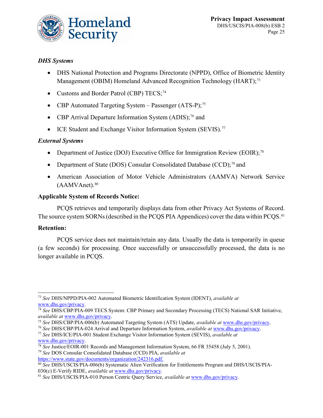

### *DHS Systems*

- DHS National Protection and Programs Directorate (NPPD), Office of Biometric Identity Management (OBIM) Homeland Advanced Recognition Technology (HART);<sup>[73](#page-25-0)</sup>
- Customs and Border Patrol (CBP) TECS;<sup>[74](#page-25-1)</sup>
- CBP Automated Targeting System Passenger  $(ATS-P)$ ;<sup>[75](#page-25-2)</sup>
- CBP Arrival Departure Information System  $(ADIS)$ ;<sup>[76](#page-25-3)</sup> and
- ICE Student and Exchange Visitor Information System (SEVIS).<sup>[77](#page-25-4)</sup>

#### *External Systems*

- Department of Justice (DOJ) Executive Office for Immigration Review (EOIR);<sup>[78](#page-25-5)</sup>
- Department of State (DOS) Consular Consolidated Database (CCD); $^{79}$  $^{79}$  $^{79}$  and
- American Association of Motor Vehicle Administrators (AAMVA) Network Service  $(AAMVAnet).$ <sup>[80](#page-25-7)</sup>

#### **Applicable System of Records Notice:**

PCQS retrieves and temporarily displays data from other Privacy Act Systems of Record. The source system SORNs (described in the PCQS PIA Appendices) cover the data within PCQS.<sup>[81](#page-25-8)</sup>

#### **Retention:**

PCQS service does not maintain/retain any data. Usually the data is temporarily in queue (a few seconds) for processing. Once successfully or unsuccessfully processed, the data is no longer available in PCQS.

<sup>79</sup> *See* DOS Consular Consolidated Database (CCD) PIA, *available at*  [https://www.state.gov/documents/organization/242316.pdf.](https://www.state.gov/documents/organization/242316.pdf)

<span id="page-25-0"></span> <sup>73</sup> *See* DHS/NPPD/PIA-002 Automated Biometric Identification System (IDENT), *available at* [www.dhs.gov/privacy.](http://www.dhs.gov/privacy)

<span id="page-25-1"></span><sup>74</sup> *See* DHS/CBP/PIA-009 TECS System: CBP Primary and Secondary Processing (TECS) National SAR Initiative, *available at* [www.dhs.gov/privacy.](http://www.dhs.gov/privacy)

<span id="page-25-2"></span><sup>75</sup> *See* DHS/CBP/PIA-006(b) Automated Targeting System (ATS) Update, *available at* [www.dhs.gov/privacy.](http://www.dhs.gov/privacy)

<span id="page-25-3"></span><sup>76</sup> *See* DHS/CBP/PIA-024 Arrival and Departure Information System, *available at* [www.dhs.gov/privacy.](http://www.dhs.gov/privacy) <sup>77</sup> *See* DHS/ICE/PIA-001 Student Exchange Visitor Information System (SEVIS), *available at*  [www.dhs.gov/privacy.](http://www.dhs.gov/privacy)

<span id="page-25-6"></span><span id="page-25-5"></span><span id="page-25-4"></span><sup>78</sup> *See* Justice/EOIR-001 Records and Management Information System, 66 FR 35458 (July 5, 2001).

<span id="page-25-7"></span><sup>80</sup> *See* DHS/USCIS/PIA-006(b) Systematic Alien Verification for Entitlements Program and DHS/USCIS/PIA-030(c) E-Verify RIDE, *available at* [www.dhs.gov/privacy.](http://www.dhs.gov/privacy)

<span id="page-25-8"></span><sup>81</sup> *See* DHS/USCIS/PIA-010 Person Centric Query Service, *available at* [www.dhs.gov/privacy.](http://www.dhs.gov/privacy)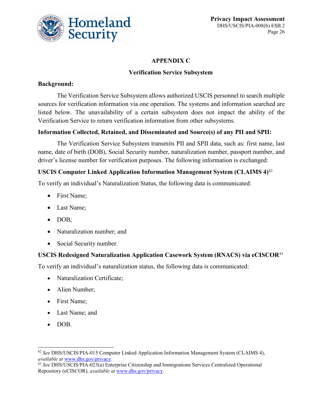

### **APPENDIX C**

### **Verification Service Subsystem**

### **Background:**

The Verification Service Subsystem allows authorized USCIS personnel to search multiple sources for verification information via one operation. The systems and information searched are listed below. The unavailability of a certain subsystem does not impact the ability of the Verification Service to return verification information from other subsystems.

### **Information Collected, Retained, and Disseminated and Source(s) of any PII and SPII:**

The Verification Service Subsystem transmits PII and SPII data, such as: first name, last name, date of birth (DOB), Social Security number, naturalization number, passport number, and driver's license number for verification purposes. The following information is exchanged:

### **USCIS Computer Linked Application Information Management System (CLAIMS 4)**[82](#page-26-0)

To verify an individual's Naturalization Status, the following data is communicated:

- First Name;
- Last Name;
- DOB;
- Naturalization number; and
- Social Security number.

### **USCIS Redesigned Naturalization Application Casework System (RNACS) via eCISCOR**[83](#page-26-1)

To verify an individual's naturalization status, the following data is communicated:

- Naturalization Certificate;
- Alien Number;
- First Name;
- Last Name; and
- DOB.

<span id="page-26-0"></span> <sup>82</sup> *See* DHS/USCIS/PIA-015 Computer Linked Application Information Management System (CLAIMS 4), *available at* [www.dhs.gov/privacy.](http://www.dhs.gov/privacy)

<span id="page-26-1"></span><sup>83</sup> *See* DHS/USCIS/PIA-023(a) Enterprise Citizenship and Immigrations Services Centralized Operational Repository (eCISCOR), *available at* [www.dhs.gov/privacy.](http://www.dhs.gov/privacy)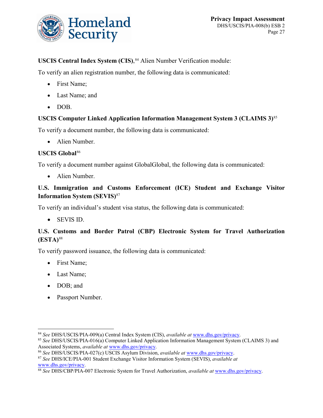

## **USCIS Central Index System (CIS)**, [84](#page-27-0) Alien Number Verification module:

To verify an alien registration number, the following data is communicated:

- First Name;
- Last Name; and
- DOB.

### **USCIS Computer Linked Application Information Management System 3 (CLAIMS 3)**[85](#page-27-1)

To verify a document number, the following data is communicated:

• Alien Number.

#### **USCIS Global**[86](#page-27-2)

To verify a document number against GlobalGlobal, the following data is communicated:

• Alien Number.

### **U.S. Immigration and Customs Enforcement (ICE) Student and Exchange Visitor Information System (SEVIS)**[87](#page-27-3)

To verify an individual's student visa status, the following data is communicated:

• SEVIS ID.

### **U.S. Customs and Border Patrol (CBP) Electronic System for Travel Authorization (ESTA)**[88](#page-27-4)

To verify password issuance, the following data is communicated:

- First Name;
- Last Name;
- DOB; and
- Passport Number.

<span id="page-27-0"></span> <sup>84</sup> *See* DHS/USCIS/PIA-009(a) Central Index System (CIS), *available at* [www.dhs.gov/privacy.](http://www.dhs.gov/privacy)

<span id="page-27-1"></span><sup>85</sup> *See* DHS/USCIS/PIA-016(a) Computer Linked Application Information Management System (CLAIMS 3) and Associated Systems, *available at* [www.dhs.gov/privacy.](http://www.dhs.gov/privacy)

<span id="page-27-2"></span><sup>86</sup> *See* DHS/USCIS/PIA-027(c) USCIS Asylum Division, *available at* [www.dhs.gov/privacy.](http://www.dhs.gov/privacy)

<span id="page-27-3"></span><sup>87</sup> *See* DHS/ICE/PIA-001 Student Exchange Visitor Information System (SEVIS), *available at*  [www.dhs.gov/privacy.](http://www.dhs.gov/privacy)

<span id="page-27-4"></span><sup>88</sup> *See* DHS/CBP/PIA-007 Electronic System for Travel Authorization, *available at* [www.dhs.gov/privacy.](http://www.dhs.gov/privacy)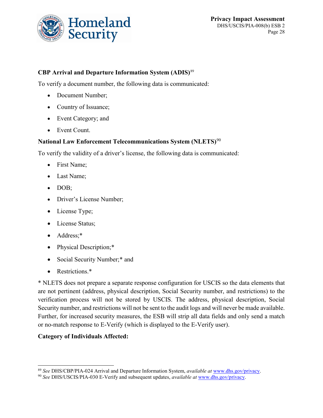

### **CBP Arrival and Departure Information System (ADIS)**[89](#page-28-0)

To verify a document number, the following data is communicated:

- Document Number;
- Country of Issuance;
- Event Category; and
- Event Count.

#### **National Law Enforcement Telecommunications System (NLETS)**[90](#page-28-1)

To verify the validity of a driver's license, the following data is communicated:

- First Name;
- Last Name;
- DOB;
- Driver's License Number;
- License Type;
- License Status;
- Address;\*
- Physical Description;\*
- Social Security Number;\* and
- Restrictions.\*

\* NLETS does not prepare a separate response configuration for USCIS so the data elements that are not pertinent (address, physical description, Social Security number, and restrictions) to the verification process will not be stored by USCIS. The address, physical description, Social Security number, and restrictions will not be sent to the audit logs and will never be made available. Further, for increased security measures, the ESB will strip all data fields and only send a match or no-match response to E-Verify (which is displayed to the E-Verify user).

#### **Category of Individuals Affected:**

<span id="page-28-0"></span> <sup>89</sup> *See* DHS/CBP/PIA-024 Arrival and Departure Information System, *available at* [www.dhs.gov/privacy.](http://www.dhs.gov/privacy)

<span id="page-28-1"></span><sup>90</sup> *See* DHS/USCIS/PIA-030 E-Verify and subsequent updates, *available at* [www.dhs.gov/privacy.](http://www.dhs.gov/privacy)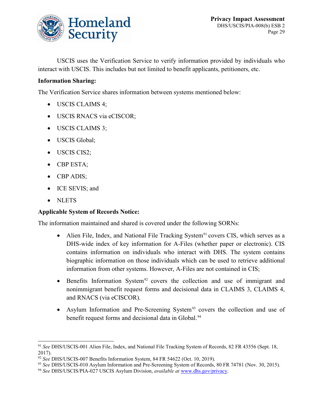

USCIS uses the Verification Service to verify information provided by individuals who interact with USCIS. This includes but not limited to benefit applicants, petitioners, etc.

### **Information Sharing:**

The Verification Service shares information between systems mentioned below:

- USCIS CLAIMS 4;
- USCIS RNACS via eCISCOR;
- USCIS CLAIMS 3;
- USCIS Global;
- USCIS CIS2;
- CBP ESTA;
- CBP ADIS;
- ICE SEVIS; and
- NLETS

#### **Applicable System of Records Notice:**

The information maintained and shared is covered under the following SORNs:

- Alien File, Index, and National File Tracking System<sup>[91](#page-29-0)</sup> covers CIS, which serves as a DHS-wide index of key information for A-Files (whether paper or electronic). CIS contains information on individuals who interact with DHS. The system contains biographic information on those individuals which can be used to retrieve additional information from other systems. However, A-Files are not contained in CIS;
- Benefits Information System<sup>[92](#page-29-1)</sup> covers the collection and use of immigrant and nonimmigrant benefit request forms and decisional data in CLAIMS 3, CLAIMS 4, and RNACS (via eCISCOR).
- Asylum Information and Pre-Screening System<sup>[93](#page-29-2)</sup> covers the collection and use of benefit request forms and decisional data in Global.<sup>[94](#page-29-3)</sup>

<span id="page-29-0"></span> <sup>91</sup> *See* DHS/USCIS-001 Alien File, Index, and National File Tracking System of Records, 82 FR 43556 (Sept. 18, 2017).

<span id="page-29-1"></span><sup>92</sup> *See* DHS/USCIS-007 Benefits Information System, 84 FR 54622 (Oct. 10, 2019).

<span id="page-29-2"></span><sup>93</sup> *See* DHS/USCIS-010 Asylum Information and Pre-Screening System of Records, 80 FR 74781 (Nov. 30, 2015).

<span id="page-29-3"></span><sup>94</sup> *See* DHS/USCIS/PIA-027 USCIS Asylum Division, *available at* [www.dhs.gov/privacy.](http://www.dhs.gov/privacy)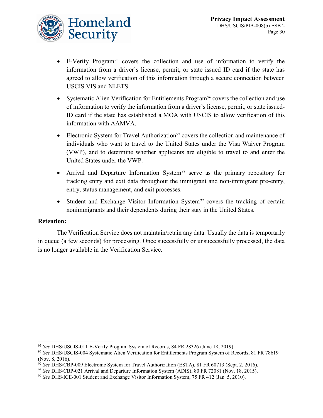

- $\bullet$  E-Verify Program<sup>[95](#page-30-0)</sup> covers the collection and use of information to verify the information from a driver's license, permit, or state issued ID card if the state has agreed to allow verification of this information through a secure connection between USCIS VIS and NLETS.
- Systematic Alien Verification for Entitlements Program<sup>[96](#page-30-1)</sup> covers the collection and use of information to verify the information from a driver's license, permit, or state issued-ID card if the state has established a MOA with USCIS to allow verification of this information with AAMVA.
- Electronic System for Travel Authorization<sup>[97](#page-30-2)</sup> covers the collection and maintenance of individuals who want to travel to the United States under the Visa Waiver Program (VWP), and to determine whether applicants are eligible to travel to and enter the United States under the VWP.
- Arrival and Departure Information System<sup>[98](#page-30-3)</sup> serve as the primary repository for tracking entry and exit data throughout the immigrant and non-immigrant pre-entry, entry, status management, and exit processes.
- Student and Exchange Visitor Information System<sup>[99](#page-30-4)</sup> covers the tracking of certain nonimmigrants and their dependents during their stay in the United States.

#### **Retention:**

The Verification Service does not maintain/retain any data. Usually the data is temporarily in queue (a few seconds) for processing. Once successfully or unsuccessfully processed, the data is no longer available in the Verification Service.

<span id="page-30-0"></span> <sup>95</sup> *See* DHS/USCIS-011 E-Verify Program System of Records, 84 FR 28326 (June 18, 2019).

<span id="page-30-1"></span><sup>96</sup> *See* DHS/USCIS-004 Systematic Alien Verification for Entitlements Program System of Records, 81 FR 78619 (Nov. 8, 2016).

<span id="page-30-2"></span><sup>&</sup>lt;sup>97</sup> See DHS/CBP-009 Electronic System for Travel Authorization (ESTA), 81 FR 60713 (Sept. 2, 2016).

<span id="page-30-3"></span><sup>98</sup> *See* DHS/CBP-021 Arrival and Departure Information System (ADIS), 80 FR 72081 (Nov. 18, 2015).

<span id="page-30-4"></span><sup>99</sup> *See* DHS/ICE-001 Student and Exchange Visitor Information System, 75 FR 412 (Jan. 5, 2010).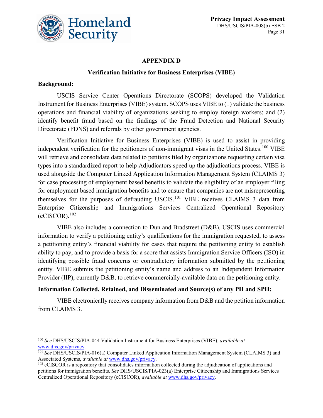

#### **APPENDIX D**

#### **Verification Initiative for Business Enterprises (VIBE)**

#### **Background:**

USCIS Service Center Operations Directorate (SCOPS) developed the Validation Instrument for Business Enterprises (VIBE) system. SCOPS uses VIBE to (1) validate the business operations and financial viability of organizations seeking to employ foreign workers; and (2) identify benefit fraud based on the findings of the Fraud Detection and National Security Directorate (FDNS) and referrals by other government agencies.

Verification Initiative for Business Enterprises (VIBE) is used to assist in providing independent verification for the petitioners of non-immigrant visas in the United States.<sup>[100](#page-31-0)</sup> VIBE will retrieve and consolidate data related to petitions filed by organizations requesting certain visa types into a standardized report to help Adjudicators speed up the adjudications process. VIBE is used alongside the Computer Linked Application Information Management System (CLAIMS 3) for case processing of employment based benefits to validate the eligibility of an employer filing for employment based immigration benefits and to ensure that companies are not misrepresenting themselves for the purposes of defrauding USCIS.<sup>[101](#page-31-1)</sup> VIBE receives CLAIMS 3 data from Enterprise Citizenship and Immigrations Services Centralized Operational Repository  $(eCISCOR).<sup>102</sup>$  $(eCISCOR).<sup>102</sup>$  $(eCISCOR).<sup>102</sup>$ 

VIBE also includes a connection to Dun and Bradstreet (D&B). USCIS uses commercial information to verify a petitioning entity's qualifications for the immigration requested, to assess a petitioning entity's financial viability for cases that require the petitioning entity to establish ability to pay, and to provide a basis for a score that assists Immigration Service Officers (ISO) in identifying possible fraud concerns or contradictory information submitted by the petitioning entity. VIBE submits the petitioning entity's name and address to an Independent Information Provider (IIP), currently D&B, to retrieve commercially-available data on the petitioning entity.

#### **Information Collected, Retained, and Disseminated and Source(s) of any PII and SPII:**

VIBE electronically receives company information from D&B and the petition information from CLAIMS 3.

<span id="page-31-0"></span> <sup>100</sup> *See* DHS/USCIS/PIA-044 Validation Instrument for Business Enterprises (VIBE), *available at* [www.dhs.gov/privacy.](http://www.dhs.gov/privacy)

<span id="page-31-1"></span><sup>101</sup> *See* DHS/USCIS/PIA-016(a) Computer Linked Application Information Management System (CLAIMS 3) and Associated Systems, *available at* [www.dhs.gov/privacy.](http://www.dhs.gov/privacy)

<span id="page-31-2"></span><sup>&</sup>lt;sup>102</sup> eCISCOR is a repository that consolidates information collected during the adjudication of applications and petitions for immigration benefits. *See* DHS/USCIS/PIA-023(a) Enterprise Citizenship and Immigrations Services Centralized Operational Repository (eCISCOR), *available at* [www.dhs.gov/privacy.](http://www.dhs.gov/privacy)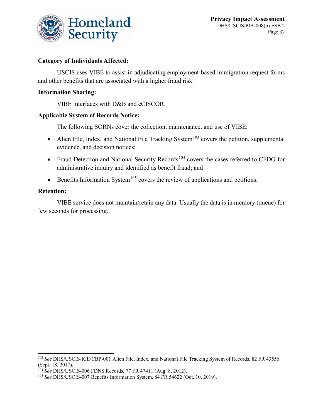

### **Category of Individuals Affected:**

USCIS uses VIBE to assist in adjudicating employment-based immigration request forms and other benefits that are associated with a higher fraud risk.

#### **Information Sharing:**

VIBE interfaces with D&B and eCISCOR.

#### **Applicable System of Records Notice:**

The following SORNs cover the collection, maintenance, and use of VIBE:

- Alien File, Index, and National File Tracking System<sup>[103](#page-32-0)</sup> covers the petition, supplemental evidence, and decision notices;
- Fraud Detection and National Security Records<sup>[104](#page-32-1)</sup> covers the cases referred to CFDO for administrative inquiry and identified as benefit fraud; and
- Benefits Information System<sup>[105](#page-32-2)</sup> covers the review of applications and petitions.

#### **Retention:**

VIBE service does not maintain/retain any data. Usually the data is in memory (queue) for few seconds for processing.

<span id="page-32-0"></span> <sup>103</sup> *See* DHS/USCIS/ICE/CBP-001 Alien File, Index, and National File Tracking System of Records, 82 FR 43556 (Sept. 18, 2017).

<span id="page-32-1"></span><sup>104</sup> *See* DHS/USCIS-006 FDNS Records, 77 FR 47411 (Aug. 8, 2012).

<span id="page-32-2"></span><sup>105</sup> *See* DHS/USCIS-007 Benefits Information System, 84 FR 54622 (Oct. 10, 2019).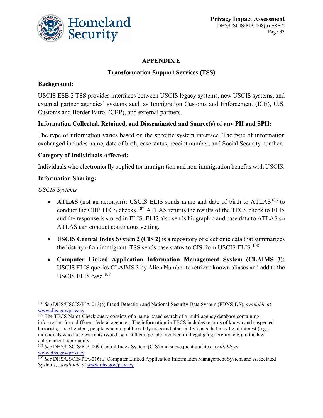

### **APPENDIX E**

### **Transformation Support Services (TSS)**

### **Background:**

USCIS ESB 2 TSS provides interfaces between USCIS legacy systems, new USCIS systems, and external partner agencies' systems such as Immigration Customs and Enforcement (ICE), U.S. Customs and Border Patrol (CBP), and external partners.

#### **Information Collected, Retained, and Disseminated and Source(s) of any PII and SPII:**

The type of information varies based on the specific system interface. The type of information exchanged includes name, date of birth, case status, receipt number, and Social Security number.

### **Category of Individuals Affected:**

Individuals who electronically applied for immigration and non-immigration benefits with USCIS.

#### **Information Sharing:**

*USCIS Systems*

- **ATLAS** (not an acronym): USCIS ELIS sends name and date of birth to ATLAS<sup>[106](#page-33-0)</sup> to conduct the CBP TECS checks.<sup>[107](#page-33-1)</sup> ATLAS returns the results of the TECS check to ELIS and the response is stored in ELIS. ELIS also sends biographic and case data to ATLAS so ATLAS can conduct continuous vetting.
- **USCIS Central Index System 2 (CIS 2)** is a repository of electronic data that summarizes the history of an immigrant. TSS sends case status to CIS from USCIS ELIS.<sup>[108](#page-33-2)</sup>
- **Computer Linked Application Information Management System (CLAIMS 3):**  USCIS ELIS queries CLAIMS 3 by Alien Number to retrieve known aliases and add to the USCIS ELIS case.<sup>[109](#page-33-3)</sup>

<span id="page-33-0"></span> <sup>106</sup> *See* DHS/USCIS/PIA-013(a) Fraud Detection and National Security Data System (FDNS-DS), *available at* [www.dhs.gov/privacy.](http://www.dhs.gov/privacy)

<span id="page-33-1"></span> $107$  The TECS Name Check query consists of a name-based search of a multi-agency database containing information from different federal agencies. The information in TECS includes records of known and suspected terrorists, sex offenders, people who are public safety risks and other individuals that may be of interest (e.g., individuals who have warrants issued against them, people involved in illegal gang activity, etc.) to the law enforcement community.

<span id="page-33-2"></span><sup>108</sup> *See* DHS/USCIS/PIA-009 Central Index System (CIS) and subsequent updates, *available at* [www.dhs.gov/privacy.](http://www.dhs.gov/privacy)

<span id="page-33-3"></span><sup>109</sup> *See* DHS/USCIS/PIA-016(a) Computer Linked Application Information Management System and Associated Systems, , *available at* [www.dhs.gov/privacy.](http://www.dhs.gov/privacy)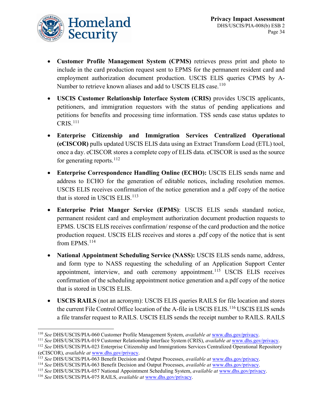

- **Customer Profile Management System (CPMS)** retrieves press print and photo to include in the card production request sent to EPMS for the permanent resident card and employment authorization document production. USCIS ELIS queries CPMS by A-Number to retrieve known aliases and add to USCIS ELIS case.<sup>[110](#page-34-0)</sup>
- **USCIS Customer Relationship Interface System (CRIS)** provides USCIS applicants, petitioners, and immigration requestors with the status of pending applications and petitions for benefits and processing time information. TSS sends case status updates to  $CRIS.<sup>111</sup>$  $CRIS.<sup>111</sup>$  $CRIS.<sup>111</sup>$
- **Enterprise Citizenship and Immigration Services Centralized Operational (eCISCOR)** pulls updated USCIS ELIS data using an Extract Transform Load (ETL) tool, once a day. eCISCOR stores a complete copy of ELIS data. eCISCOR is used as the source for generating reports.  $^{112}$  $^{112}$  $^{112}$
- **Enterprise Correspondence Handling Online (ECHO):** USCIS ELIS sends name and address to ECHO for the generation of editable notices, including resolution memos. USCIS ELIS receives confirmation of the notice generation and a .pdf copy of the notice that is stored in USCIS ELIS.<sup>[113](#page-34-3)</sup>
- **Enterprise Print Manger Service (EPMS)**: USCIS ELIS sends standard notice, permanent resident card and employment authorization document production requests to EPMS. USCIS ELIS receives confirmation/ response of the card production and the notice production request. USCIS ELIS receives and stores a .pdf copy of the notice that is sent from EPMS.<sup>[114](#page-34-4)</sup>
- **National Appointment Scheduling Service (NASS):** USCIS ELIS sends name, address, and form type to NASS requesting the scheduling of an Application Support Center appointment, interview, and oath ceremony appointment.<sup>[115](#page-34-5)</sup> USCIS ELIS receives confirmation of the scheduling appointment notice generation and a.pdf copy of the notice that is stored in USCIS ELIS.
- **USCIS RAILS** (not an acronym): USCIS ELIS queries RAILS for file location and stores the current File Control Office location of the A-file in USCIS ELIS.<sup>[116](#page-34-6)</sup> USCIS ELIS sends a file transfer request to RAILS. USCIS ELIS sends the receipt number to RAILS. RAILS

<span id="page-34-0"></span> <sup>110</sup> *See* DHS/USCIS/PIA-060 Customer Profile Management System, *available at* [www.dhs.gov/privacy.](http://www.dhs.gov/privacy)

<span id="page-34-1"></span><sup>111</sup> *See* DHS/USCIS/PIA-019 Customer Relationship Interface System (CRIS), *available at* [www.dhs.gov/privacy.](http://www.dhs.gov/privacy)

<span id="page-34-2"></span><sup>112</sup> *See* DHS/USCIS/PIA-023 Enterprise Citizenship and Immigrations Services Centralized Operational Repository (eCISCOR), *available at* [www.dhs.gov/privacy.](http://www.dhs.gov/privacy)

<span id="page-34-3"></span><sup>113</sup> *See* DHS/USCIS/PIA-063 Benefit Decision and Output Processes, *available at* [www.dhs.gov/privacy.](http://www.dhs.gov/privacy)

<span id="page-34-4"></span><sup>114</sup> *See* DHS/USCIS/PIA-063 Benefit Decision and Output Processes, *available at* [www.dhs.gov/privacy.](http://www.dhs.gov/privacy)

<span id="page-34-5"></span><sup>115</sup> *See* DHS/USCIS/PIA-057 National Appointment Scheduling System, *available at* [www.dhs.gov/privacy.](http://www.dhs.gov/privacy)

<span id="page-34-6"></span><sup>116</sup> *See* DHS/USCIS/PIA-075 RAILS, *available at* [www.dhs.gov/privacy.](http://www.dhs.gov/privacy)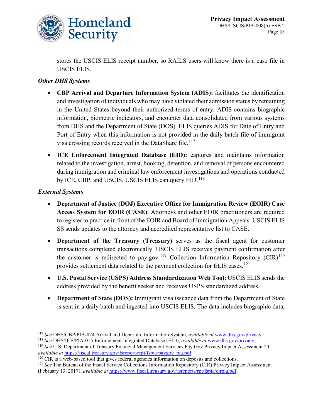

stores the USCIS ELIS receipt number, so RAILS users will know there is a case file in USCIS ELIS.

### *Other DHS Systems*

- **CBP Arrival and Departure Information System (ADIS):** facilitates the identification and investigation of individuals who may have violated their admission status by remaining in the United States beyond their authorized terms of entry. ADIS contains biographic information, biometric indicators, and encounter data consolidated from various systems from DHS and the Department of State (DOS). ELIS queries ADIS for Date of Entry and Port of Entry when this information is not provided in the daily batch file of immigrant visa crossing records received in the DataShare file.<sup>[117](#page-35-0)</sup>
- **ICE Enforcement Integrated Database (EID):** captures and maintains information related to the investigation, arrest, booking, detention, and removal of persons encountered during immigration and criminal law enforcement investigations and operations conducted by ICE, CBP, and USCIS. USCIS ELIS can query EID.<sup>[118](#page-35-1)</sup>

#### *External Systems*

- **Department of Justice (DOJ) Executive Office for Immigration Review (EOIR) Case Access System for EOIR (CASE)**: Attorneys and other EOIR practitioners are required to register to practice in front of the EOIR and Board of Immigration Appeals. USCIS ELIS SS sends updates to the attorney and accredited representative list to CASE.
- **Department of the Treasury (Treasury)** serves as the fiscal agent for customer transactions completed electronically. USCIS ELIS receives payment confirmation after the customer is redirected to pay.gov.<sup>[119](#page-35-2)</sup> Collection Information Repository (CIR)<sup>[120](#page-35-3)</sup> provides settlement data related to the payment collection for ELIS cases.<sup>[121](#page-35-4)</sup>
- **U.S. Postal Service (USPS) Address Standardization Web Tool:** USCIS ELIS sends the address provided by the benefit seeker and receives USPS standardized address.
- **Department of State (DOS):** Immigrant visa issuance data from the Department of State is sent in a daily batch and ingested into USCIS ELIS. The data includes biographic data,

<span id="page-35-0"></span> <sup>117</sup> *See* DHS/CBP/PIA-024 Arrival and Departure Information System, *available at* [www.dhs.gov/privacy.](http://www.dhs.gov/privacy)

<span id="page-35-1"></span><sup>118</sup> *See* DHS/ICE/PIA-015 Enforcement Integrated Database (EID), *available at* [www.dhs.gov/privacy.](http://www.dhs.gov/privacy)

<span id="page-35-2"></span><sup>119</sup> *See* U.S. Department of Treasury Financial Management Services Pay.Gov Privacy Impact Assessment 2.0 *available at* [https://fiscal.treasury.gov/fsreports/rpt/fspia/paygov\\_pia.pdf.](https://fiscal.treasury.gov/fsreports/rpt/fspia/paygov_pia.pdf)

<span id="page-35-3"></span><sup>&</sup>lt;sup>120</sup> CIR is a web-based tool that gives federal agencies information on deposits and collections.

<span id="page-35-4"></span><sup>121</sup> *See* The Bureau of the Fiscal Service Collections Information Repository (CIR) Privacy Impact Assessment (February 13, 2017), *available at* [https://www.fiscal.treasury.gov/fsreports/rpt/fspia/cirpia.pdf.](https://www.fiscal.treasury.gov/fsreports/rpt/fspia/cirpia.pdf)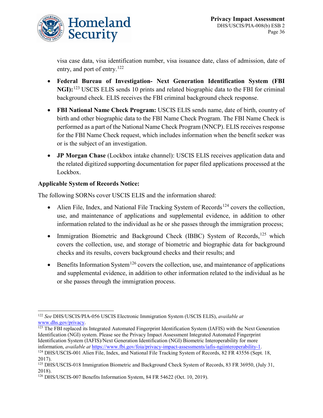visa case data, visa identification number, visa issuance date, class of admission, date of entry, and port of entry.<sup>[122](#page-36-0)</sup>

- **Federal Bureau of Investigation- Next Generation Identification System (FBI NGI):**[123](#page-36-1) USCIS ELIS sends 10 prints and related biographic data to the FBI for criminal background check. ELIS receives the FBI criminal background check response.
- **FBI National Name Check Program:** USCIS ELIS sends name, date of birth, country of birth and other biographic data to the FBI Name Check Program. The FBI Name Check is performed as a part of the National Name Check Program (NNCP). ELIS receives response for the FBI Name Check request, which includes information when the benefit seeker was or is the subject of an investigation.
- **JP Morgan Chase** (Lockbox intake channel): USCIS ELIS receives application data and the related digitized supporting documentation for paper filed applications processed at the Lockbox.

## **Applicable System of Records Notice:**

The following SORNs cover USCIS ELIS and the information shared:

- Alien File, Index, and National File Tracking System of Records<sup>[124](#page-36-2)</sup> covers the collection, use, and maintenance of applications and supplemental evidence, in addition to other information related to the individual as he or she passes through the immigration process;
- Immigration Biometric and Background Check (IBBC) System of Records,<sup>[125](#page-36-3)</sup> which covers the collection, use, and storage of biometric and biographic data for background checks and its results, covers background checks and their results; and
- Benefits Information System<sup>[126](#page-36-4)</sup> covers the collection, use, and maintenance of applications and supplemental evidence, in addition to other information related to the individual as he or she passes through the immigration process.

<span id="page-36-0"></span> <sup>122</sup> *See* DHS/USCIS/PIA-056 USCIS Electronic Immigration System (USCIS ELIS), *available at* [www.dhs.gov/privacy.](http://www.dhs.gov/privacy)

<span id="page-36-1"></span><sup>&</sup>lt;sup>123</sup> The FBI replaced its Integrated Automated Fingerprint Identification System (IAFIS) with the Next Generation Identification (NGI) system. Please see the Privacy Impact Assessment Integrated Automated Fingerprint Identification System (IAFIS)/Next Generation Identification (NGI) Biometric Interoperability for more information, *available at* [https://www.fbi.gov/foia/privacy-impact-assessments/iafis-ngiinteroperability-1.](https://www.fbi.gov/foia/privacy-impact-assessments/iafis-ngiinteroperability-1)

<span id="page-36-2"></span><sup>&</sup>lt;sup>124</sup> DHS/USCIS-001 Alien File, Index, and National File Tracking System of Records, 82 FR 43556 (Sept. 18, 2017).

<span id="page-36-3"></span><sup>125</sup> DHS/USCIS-018 Immigration Biometric and Background Check System of Records, 83 FR 36950, (July 31, 2018).

<span id="page-36-4"></span><sup>126</sup> DHS/USCIS-007 Benefits Information System, 84 FR 54622 (Oct. 10, 2019).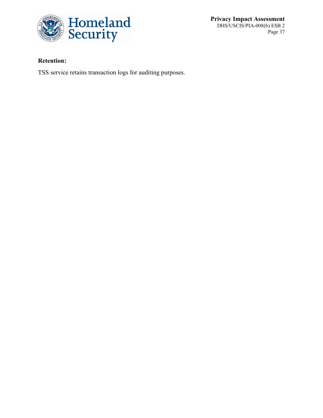

**Privacy Impact Assessment** DHS/USCIS/PIA-008(b) ESB 2 Page 37

## **Retention:**

TSS service retains transaction logs for auditing purposes.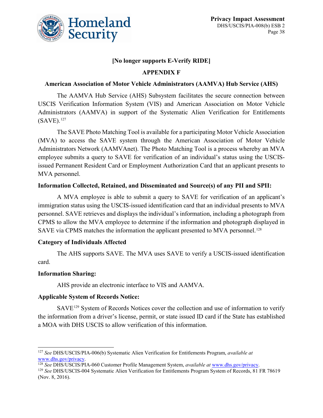

### **[No longer supports E-Verify RIDE]**

### **APPENDIX F**

#### **American Association of Motor Vehicle Administrators (AAMVA) Hub Service (AHS)**

The AAMVA Hub Service (AHS) Subsystem facilitates the secure connection between USCIS Verification Information System (VIS) and American Association on Motor Vehicle Administrators (AAMVA) in support of the Systematic Alien Verification for Entitlements (SAVE). [127](#page-38-0)

The SAVE Photo Matching Tool is available for a participating Motor Vehicle Association (MVA) to access the SAVE system through the American Association of Motor Vehicle Administrators Network (AAMVAnet). The Photo Matching Tool is a process whereby an MVA employee submits a query to SAVE for verification of an individual's status using the USCISissued Permanent Resident Card or Employment Authorization Card that an applicant presents to MVA personnel.

#### **Information Collected, Retained, and Disseminated and Source(s) of any PII and SPII:**

A MVA employee is able to submit a query to SAVE for verification of an applicant's immigration status using the USCIS-issued identification card that an individual presents to MVA personnel. SAVE retrieves and displays the individual's information, including a photograph from CPMS to allow the MVA employee to determine if the information and photograph displayed in SAVE via CPMS matches the information the applicant presented to MVA personnel.<sup>[128](#page-38-1)</sup>

#### **Category of Individuals Affected**

The AHS supports SAVE. The MVA uses SAVE to verify a USCIS-issued identification card.

#### **Information Sharing:**

AHS provide an electronic interface to VIS and AAMVA.

#### **Applicable System of Records Notice:**

SAVE[129](#page-38-2) System of Records Notices cover the collection and use of information to verify the information from a driver's license, permit, or state issued ID card if the State has established a MOA with DHS USCIS to allow verification of this information.

<span id="page-38-0"></span> <sup>127</sup> *See* DHS/USCIS/PIA-006(b) Systematic Alien Verification for Entitlements Program, *available at* [www.dhs.gov/privacy.](http://www.dhs.gov/privacy)

<span id="page-38-1"></span><sup>128</sup> *See* DHS/USCIS/PIA-060 Customer Profile Management System, *available at* [www.dhs.gov/privacy.](http://www.dhs.gov/privacy)

<span id="page-38-2"></span><sup>129</sup> *See* DHS/USCIS-004 Systematic Alien Verification for Entitlements Program System of Records, 81 FR 78619 (Nov. 8, 2016).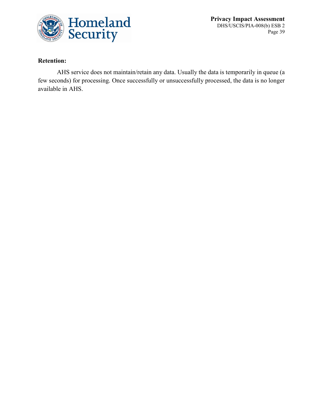

**Privacy Impact Assessment** DHS/USCIS/PIA-008(b) ESB 2 Page 39

### **Retention:**

AHS service does not maintain/retain any data. Usually the data is temporarily in queue (a few seconds) for processing. Once successfully or unsuccessfully processed, the data is no longer available in AHS.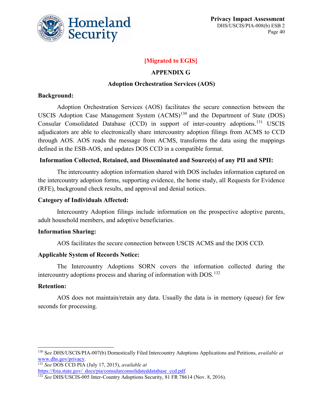

### **[Migrated to EGIS]**

#### **APPENDIX G**

#### **Adoption Orchestration Services (AOS)**

#### **Background:**

Adoption Orchestration Services (AOS) facilitates the secure connection between the USCIS Adoption Case Management System  $(ACMS)^{130}$  $(ACMS)^{130}$  $(ACMS)^{130}$  and the Department of State (DOS) Consular Consolidated Database (CCD) in support of inter-country adoptions.[131](#page-40-1) USCIS adjudicators are able to electronically share intercountry adoption filings from ACMS to CCD through AOS. AOS reads the message from ACMS, transforms the data using the mappings defined in the ESB-AOS, and updates DOS CCD in a compatible format.

#### **Information Collected, Retained, and Disseminated and Source(s) of any PII and SPII:**

The intercountry adoption information shared with DOS includes information captured on the intercountry adoption forms, supporting evidence, the home study, all Requests for Evidence (RFE), background check results, and approval and denial notices.

#### **Category of Individuals Affected:**

Intercountry Adoption filings include information on the prospective adoptive parents, adult household members, and adoptive beneficiaries.

#### **Information Sharing:**

AOS facilitates the secure connection between USCIS ACMS and the DOS CCD.

#### **Applicable System of Records Notice:**

The Intercountry Adoptions SORN covers the information collected during the intercountry adoptions process and sharing of information with DOS.<sup>[132](#page-40-2)</sup>

#### **Retention:**

AOS does not maintain/retain any data. Usually the data is in memory (queue) for few seconds for processing.

<span id="page-40-1"></span><sup>131</sup> *See* DOS CCD PIA (July 17, 2015), *available at*  [https://foia.state.gov/\\_docs/pia/consularconsolidateddatabase\\_ccd.pdf.](https://foia.state.gov/_docs/pia/consularconsolidateddatabase_ccd.pdf)

<span id="page-40-0"></span> <sup>130</sup> <sup>S</sup>*ee* DHS/USCIS/PIA-007(b) Domestically Filed Intercountry Adoptions Applications and Petitions, *available at*  [www.dhs.gov/privacy.](http://www.dhs.gov/privacy)

<span id="page-40-2"></span><sup>132</sup> *See* DHS/USCIS-005 Inter-Country Adoptions Security, 81 FR 78614 (Nov. 8, 2016).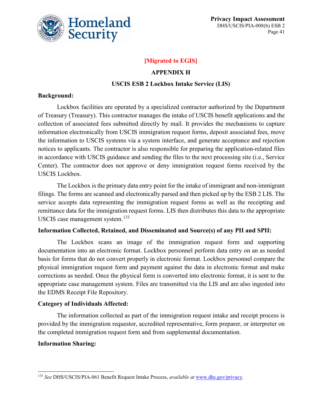

### **[Migrated to EGIS]**

#### **APPENDIX H**

#### **USCIS ESB 2 Lockbox Intake Service (LIS)**

#### **Background:**

Lockbox facilities are operated by a specialized contractor authorized by the Department of Treasury (Treasury). This contractor manages the intake of USCIS benefit applications and the collection of associated fees submitted directly by mail. It provides the mechanisms to capture information electronically from USCIS immigration request forms, deposit associated fees, move the information to USCIS systems via a system interface, and generate acceptance and rejection notices to applicants. The contractor is also responsible for preparing the application-related files in accordance with USCIS guidance and sending the files to the next processing site (i.e., Service Center). The contractor does not approve or deny immigration request forms received by the USCIS Lockbox.

The Lockbox is the primary data entry point for the intake of immigrant and non-immigrant filings. The forms are scanned and electronically parsed and then picked up by the ESB 2 LIS. The service accepts data representing the immigration request forms as well as the receipting and remittance data for the immigration request forms. LIS then distributes this data to the appropriate USCIS case management system.<sup>[133](#page-41-0)</sup>

#### **Information Collected, Retained, and Disseminated and Source(s) of any PII and SPII:**

The Lockbox scans an image of the immigration request form and supporting documentation into an electronic format. Lockbox personnel perform data entry on an as needed basis for forms that do not convert properly in electronic format. Lockbox personnel compare the physical immigration request form and payment against the data in electronic format and make corrections as needed. Once the physical form is converted into electronic format, it is sent to the appropriate case management system. Files are transmitted via the LIS and are also ingested into the EDMS Receipt File Repository.

#### **Category of Individuals Affected:**

The information collected as part of the immigration request intake and receipt process is provided by the immigration requestor, accredited representative, form preparer, or interpreter on the completed immigration request form and from supplemental documentation.

#### **Information Sharing:**

<span id="page-41-0"></span> <sup>133</sup> *See* DHS/USCIS/PIA-061 Benefit Request Intake Process, *available at* [www.dhs.gov/privacy.](http://www.dhs.gov/privacy)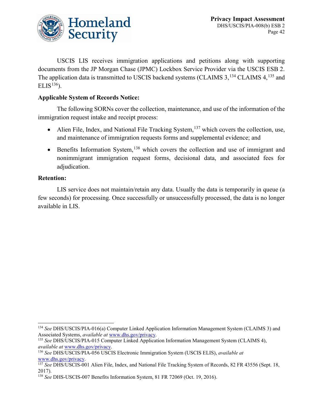

USCIS LIS receives immigration applications and petitions along with supporting documents from the JP Morgan Chase (JPMC) Lockbox Service Provider via the USCIS ESB 2. The application data is transmitted to USCIS backend systems (CLAIMS 3,<sup>[134](#page-42-0)</sup> CLAIMS 4,<sup>[135](#page-42-1)</sup> and ELIS<sup>[136](#page-42-2)</sup>).

### **Applicable System of Records Notice:**

The following SORNs cover the collection, maintenance, and use of the information of the immigration request intake and receipt process:

- Alien File, Index, and National File Tracking System,  $137$  which covers the collection, use, and maintenance of immigration requests forms and supplemental evidence; and
- Benefits Information System,  $138$  which covers the collection and use of immigrant and nonimmigrant immigration request forms, decisional data, and associated fees for adjudication.

#### **Retention:**

LIS service does not maintain/retain any data. Usually the data is temporarily in queue (a few seconds) for processing. Once successfully or unsuccessfully processed, the data is no longer available in LIS.

<span id="page-42-0"></span> <sup>134</sup> *See* DHS/USCIS/PIA-016(a) Computer Linked Application Information Management System (CLAIMS 3) and Associated Systems, *available at* [www.dhs.gov/privacy.](http://www.dhs.gov/privacy)

<span id="page-42-1"></span><sup>135</sup> *See* DHS/USCIS/PIA-015 Computer Linked Application Information Management System (CLAIMS 4), *available at* [www.dhs.gov/privacy.](http://www.dhs.gov/privacy)

<span id="page-42-2"></span><sup>136</sup> *See* DHS/USCIS/PIA-056 USCIS Electronic Immigration System (USCIS ELIS), *available at* [www.dhs.gov/privacy.](http://www.dhs.gov/privacy)

<span id="page-42-3"></span><sup>137</sup> *See* DHS/USCIS-001 Alien File, Index, and National File Tracking System of Records, 82 FR 43556 (Sept. 18, 2017).

<span id="page-42-4"></span><sup>138</sup> *See* DHS-USCIS-007 Benefits Information System, 81 FR 72069 (Oct. 19, 2016).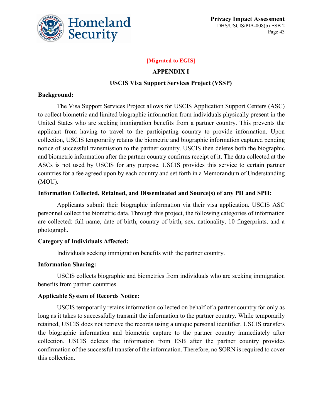

#### **[Migrated to EGIS]**

#### **APPENDIX I**

#### **USCIS Visa Support Services Project (VSSP)**

#### **Background:**

The Visa Support Services Project allows for USCIS Application Support Centers (ASC) to collect biometric and limited biographic information from individuals physically present in the United States who are seeking immigration benefits from a partner country. This prevents the applicant from having to travel to the participating country to provide information. Upon collection, USCIS temporarily retains the biometric and biographic information captured pending notice of successful transmission to the partner country. USCIS then deletes both the biographic and biometric information after the partner country confirms receipt of it. The data collected at the ASCs is not used by USCIS for any purpose. USCIS provides this service to certain partner countries for a fee agreed upon by each country and set forth in a Memorandum of Understanding (MOU).

#### **Information Collected, Retained, and Disseminated and Source(s) of any PII and SPII:**

Applicants submit their biographic information via their visa application. USCIS ASC personnel collect the biometric data. Through this project, the following categories of information are collected: full name, date of birth, country of birth, sex, nationality, 10 fingerprints, and a photograph.

#### **Category of Individuals Affected:**

Individuals seeking immigration benefits with the partner country.

#### **Information Sharing:**

USCIS collects biographic and biometrics from individuals who are seeking immigration benefits from partner countries.

#### **Applicable System of Records Notice:**

USCIS temporarily retains information collected on behalf of a partner country for only as long as it takes to successfully transmit the information to the partner country. While temporarily retained, USCIS does not retrieve the records using a unique personal identifier. USCIS transfers the biographic information and biometric capture to the partner country immediately after collection. USCIS deletes the information from ESB after the partner country provides confirmation of the successful transfer of the information. Therefore, no SORN is required to cover this collection.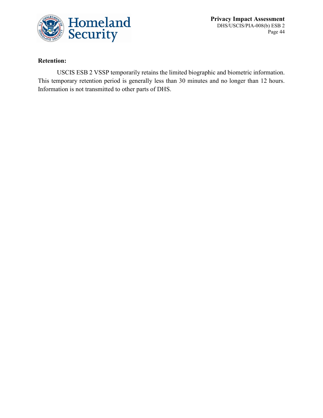

**Privacy Impact Assessment** DHS/USCIS/PIA-008(b) ESB 2 Page 44

### **Retention:**

USCIS ESB 2 VSSP temporarily retains the limited biographic and biometric information. This temporary retention period is generally less than 30 minutes and no longer than 12 hours. Information is not transmitted to other parts of DHS.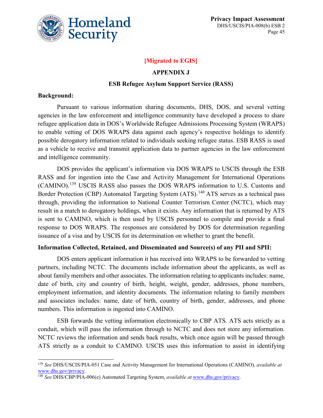

### **[Migrated to EGIS]**

#### **APPENDIX J**

#### **ESB Refugee Asylum Support Service (RASS)**

#### **Background:**

Pursuant to various information sharing documents, DHS, DOS, and several vetting agencies in the law enforcement and intelligence community have developed a process to share refugee application data in DOS's Worldwide Refugee Admissions Processing System (WRAPS) to enable vetting of DOS WRAPS data against each agency's respective holdings to identify possible derogatory information related to individuals seeking refugee status. ESB RASS is used as a vehicle to receive and transmit application data to partner agencies in the law enforcement and intelligence community.

DOS provides the applicant's information via DOS WRAPS to USCIS through the ESB RASS and for ingestion into the Case and Activity Management for International Operations (CAMINO).[139](#page-45-0) USCIS RASS also passes the DOS WRAPS information to U.S. Customs and Border Protection (CBP) Automated Targeting System (ATS).<sup>[140](#page-45-1)</sup> ATS serves as a technical pass through, providing the information to National Counter Terrorism Center (NCTC), which may result in a match to derogatory holdings, when it exists. Any information that is returned by ATS is sent to CAMINO, which is then used by USCIS personnel to compile and provide a final response to DOS WRAPS. The responses are considered by DOS for determination regarding issuance of a visa and by USCIS for its determination on whether to grant the benefit.

#### **Information Collected, Retained, and Disseminated and Source(s) of any PII and SPII:**

DOS enters applicant information it has received into WRAPS to be forwarded to vetting partners, including NCTC. The documents include information about the applicants, as well as about family members and other associates. The information relating to applicants includes: name, date of birth, city and country of birth, height, weight, gender, addresses, phone numbers, employment information, and identity documents. The information relating to family members and associates includes: name, date of birth, country of birth, gender, addresses, and phone numbers. This information is ingested into CAMINO.

ESB forwards the vetting information electronically to CBP ATS. ATS acts strictly as a conduit, which will pass the information through to NCTC and does not store any information. NCTC reviews the information and sends back results, which once again will be passed through ATS strictly as a conduit to CAMINO. USCIS uses this information to assist in identifying

<span id="page-45-0"></span> <sup>139</sup> *See* DHS/USCIS/PIA-051 Case and Activity Management for International Operations (CAMINO), *available at* [www.dhs.gov/privacy.](http://www.dhs.gov/privacy)

<span id="page-45-1"></span><sup>140</sup> *See* DHS/CBP/PIA-006(e) Automated Targeting System, *available at* [www.dhs.gov/privacy.](http://www.dhs.gov/privacy)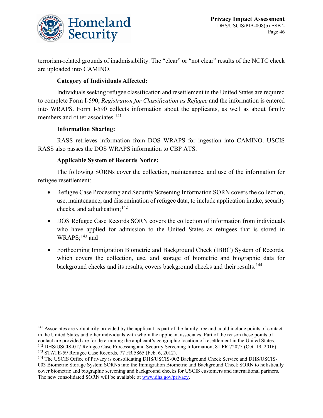

terrorism-related grounds of inadmissibility. The "clear" or "not clear" results of the NCTC check are uploaded into CAMINO.

### **Category of Individuals Affected:**

Individuals seeking refugee classification and resettlement in the United States are required to complete Form I-590, *Registration for Classification as Refugee* and the information is entered into WRAPS. Form I-590 collects information about the applicants, as well as about family members and other associates.<sup>[141](#page-46-0)</sup>

#### **Information Sharing:**

RASS retrieves information from DOS WRAPS for ingestion into CAMINO. USCIS RASS also passes the DOS WRAPS information to CBP ATS.

#### **Applicable System of Records Notice:**

The following SORNs cover the collection, maintenance, and use of the information for refugee resettlement:

- Refugee Case Processing and Security Screening Information SORN covers the collection, use, maintenance, and dissemination of refugee data, to include application intake, security checks, and adjudication;  $142$
- DOS Refugee Case Records SORN covers the collection of information from individuals who have applied for admission to the United States as refugees that is stored in WRAPS;<sup>[143](#page-46-2)</sup> and
- Forthcoming Immigration Biometric and Background Check (IBBC) System of Records. which covers the collection, use, and storage of biometric and biographic data for background checks and its results, covers background checks and their results.<sup>[144](#page-46-3)</sup>

<span id="page-46-0"></span><sup>&</sup>lt;sup>141</sup> Associates are voluntarily provided by the applicant as part of the family tree and could include points of contact in the United States and other individuals with whom the applicant associates. Part of the reason these points of contact are provided are for determining the applicant's geographic location of resettlement in the United States. <sup>142</sup> DHS/USCIS-017 Refugee Case Processing and Security Screening Information, 81 FR 72075 (Oct. 19, 2016). <sup>143</sup> STATE-59 Refugee Case Records, 77 FR 5865 (Feb. 6, 2012).

<span id="page-46-3"></span><span id="page-46-2"></span><span id="page-46-1"></span><sup>144</sup> The USCIS Office of Privacy is consolidating DHS/USCIS-002 Background Check Service and DHS/USCIS-003 Biometric Storage System SORNs into the Immigration Biometric and Background Check SORN to holistically cover biometric and biographic screening and background checks for USCIS customers and international partners. The new consolidated SORN will be available a[t www.dhs.gov/privacy.](http://www.dhs.gov/privacy)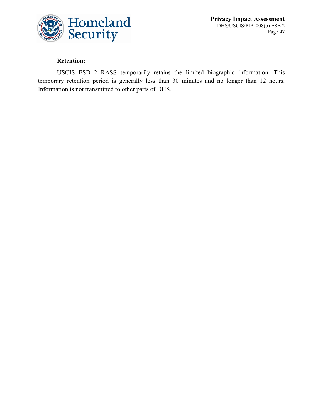

**Privacy Impact Assessment** DHS/USCIS/PIA-008(b) ESB 2 Page 47

### **Retention:**

USCIS ESB 2 RASS temporarily retains the limited biographic information. This temporary retention period is generally less than 30 minutes and no longer than 12 hours. Information is not transmitted to other parts of DHS.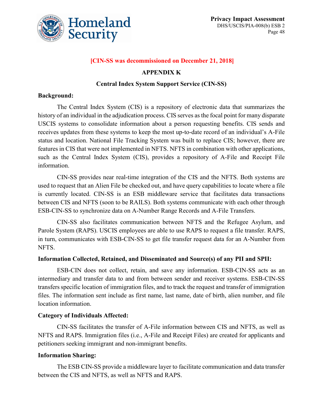

#### **[CIN-SS was decommissioned on December 21, 2018]**

#### **APPENDIX K**

#### **Central Index System Support Service (CIN-SS)**

#### **Background:**

The Central Index System (CIS) is a repository of electronic data that summarizes the history of an individual in the adjudication process. CIS serves as the focal point for many disparate USCIS systems to consolidate information about a person requesting benefits. CIS sends and receives updates from these systems to keep the most up-to-date record of an individual's A-File status and location. National File Tracking System was built to replace CIS; however, there are features in CIS that were not implemented in NFTS. NFTS in combination with other applications, such as the Central Index System (CIS), provides a repository of A-File and Receipt File information.

CIN-SS provides near real-time integration of the CIS and the NFTS. Both systems are used to request that an Alien File be checked out, and have query capabilities to locate where a file is currently located. CIN-SS is an ESB middleware service that facilitates data transactions between CIS and NFTS (soon to be RAILS). Both systems communicate with each other through ESB-CIN-SS to synchronize data on A-Number Range Records and A-File Transfers.

CIN-SS also facilitates communication between NFTS and the Refugee Asylum, and Parole System (RAPS). USCIS employees are able to use RAPS to request a file transfer. RAPS, in turn, communicates with ESB-CIN-SS to get file transfer request data for an A-Number from NFTS.

#### **Information Collected, Retained, and Disseminated and Source(s) of any PII and SPII:**

ESB-CIN does not collect, retain, and save any information. ESB-CIN-SS acts as an intermediary and transfer data to and from between sender and receiver systems. ESB-CIN-SS transfersspecific location of immigration files, and to track the request and transfer of immigration files. The information sent include as first name, last name, date of birth, alien number, and file location information.

#### **Category of Individuals Affected:**

CIN-SS facilitates the transfer of A-File information between CIS and NFTS, as well as NFTS and RAPS. Immigration files (i.e., A-File and Receipt Files) are created for applicants and petitioners seeking immigrant and non-immigrant benefits.

#### **Information Sharing:**

The ESB CIN-SS provide a middleware layer to facilitate communication and data transfer between the CIS and NFTS, as well as NFTS and RAPS.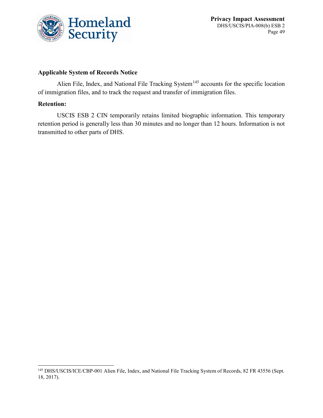

#### **Applicable System of Records Notice**

Alien File, Index, and National File Tracking System<sup>[145](#page-49-0)</sup> accounts for the specific location of immigration files, and to track the request and transfer of immigration files.

#### **Retention:**

USCIS ESB 2 CIN temporarily retains limited biographic information. This temporary retention period is generally less than 30 minutes and no longer than 12 hours. Information is not transmitted to other parts of DHS.

<span id="page-49-0"></span><sup>&</sup>lt;sup>145</sup> DHS/USCIS/ICE/CBP-001 Alien File, Index, and National File Tracking System of Records, 82 FR 43556 (Sept. 18, 2017).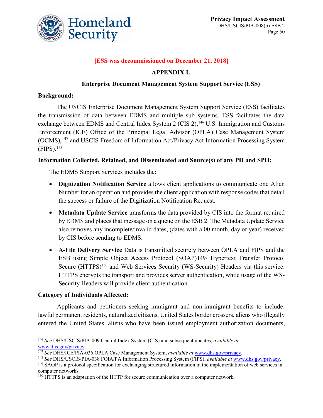

### **[ESS was decommissioned on December 21, 2018]**

#### **APPENDIX L**

#### **Enterprise Document Management System Support Service (ESS)**

#### **Background:**

The USCIS Enterprise Document Management System Support Service (ESS) facilitates the transmission of data between EDMS and multiple sub systems. ESS facilitates the data exchange between EDMS and Central Index System 2 (CIS 2),<sup>[146](#page-50-0)</sup> U.S. Immigration and Customs Enforcement (ICE) Office of the Principal Legal Advisor (OPLA) Case Management System (OCMS),[147](#page-50-1) and USCIS Freedom of Information Act/Privacy Act Information Processing System (FIPS).[148](#page-50-2)

#### **Information Collected, Retained, and Disseminated and Source(s) of any PII and SPII:**

The EDMS Support Services includes the:

- **Digitization Notification Service** allows client applications to communicate one Alien Number for an operation and provides the client application with response codes that detail the success or failure of the Digitization Notification Request.
- **Metadata Update Service** transforms the data provided by CIS into the format required by EDMS and places that message on a queue on the ESB 2. The Metadata Update Service also removes any incomplete/invalid dates, (dates with a 00 month, day or year) received by CIS before sending to EDMS.
- **A-File Delivery Service** Data is transmitted securely between OPLA and FIPS and the ESB using Simple Object Access Protocol (SOAP)[149](#page-50-3)/ Hypertext Transfer Protocol Secure (HTTPS)<sup>[150](#page-50-4)</sup> and Web Services Security (WS-Security) Headers via this service. HTTPS encrypts the transport and provides server authentication, while usage of the WS-Security Headers will provide client authentication.

#### **Category of Individuals Affected:**

Applicants and petitioners seeking immigrant and non-immigrant benefits to include: lawful permanent residents, naturalized citizens, United States border crossers, aliens who illegally entered the United States, aliens who have been issued employment authorization documents,

<span id="page-50-0"></span> <sup>146</sup> *See* DHS/USCIS/PIA-009 Central Index System (CIS) and subsequent updates, *available at* [www.dhs.gov/privacy.](http://www.dhs.gov/privacy)

<span id="page-50-1"></span><sup>147</sup> *See* DHS/ICE/PIA-036 OPLA Case Management System, *available at* [www.dhs.gov/privacy.](http://www.dhs.gov/privacy)

<span id="page-50-2"></span><sup>148</sup> *See* DHS/USCIS/PIA-038 FOIA/PA Information Processing System (FIPS), *available at* [www.dhs.gov/privacy.](http://www.dhs.gov/privacy)

<span id="page-50-3"></span><sup>&</sup>lt;sup>149</sup> SAOP is a protocol specification for exchanging structured information in the implementation of web services in computer networks.

<span id="page-50-4"></span><sup>&</sup>lt;sup>150</sup> HTTPS is an adaptation of the HTTP for secure communication over a computer network.